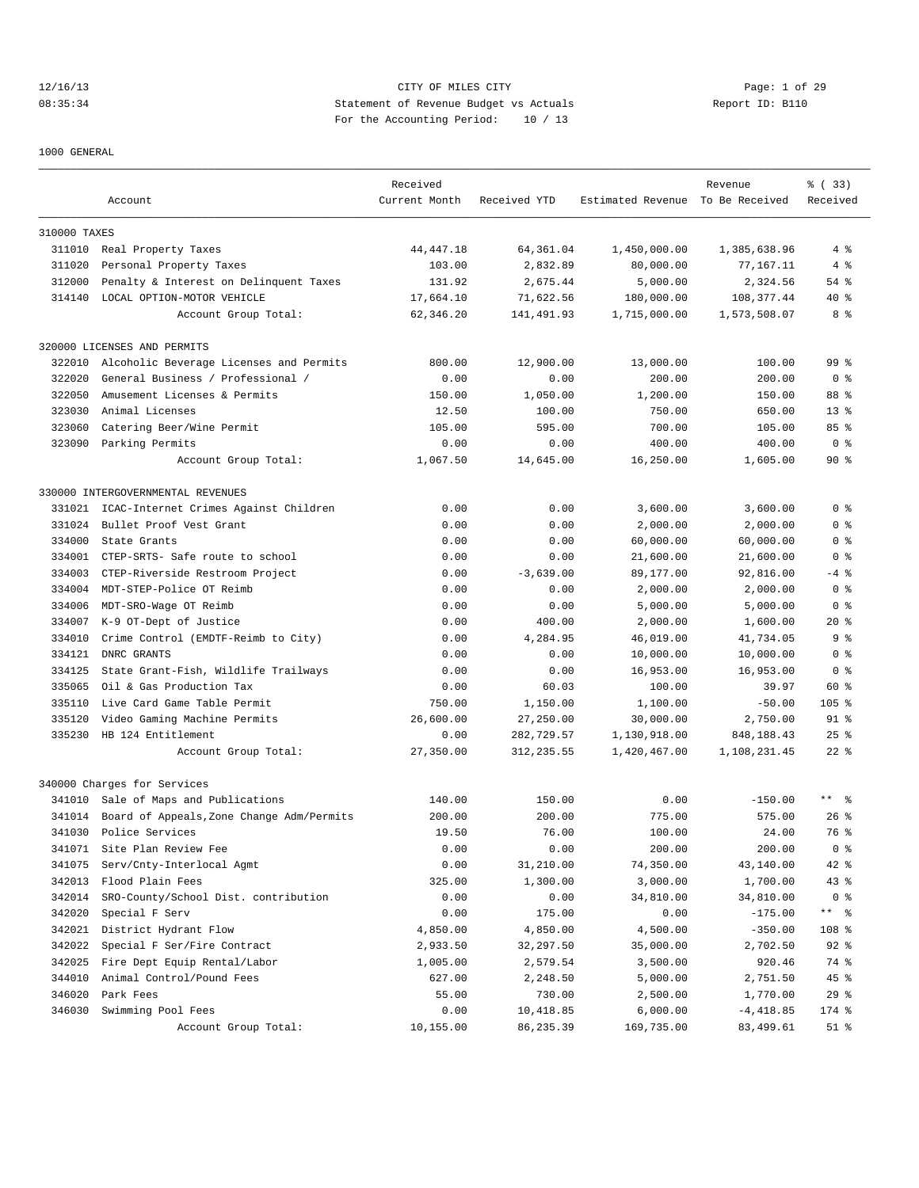# 12/16/13 CITY OF MILES CITY Page: 1 of 29 08:35:34 Statement of Revenue Budget vs Actuals Report ID: B110 For the Accounting Period: 10 / 13

1000 GENERAL

|              |                                           | Received      |              |                                  | Revenue      | % ( 33)         |
|--------------|-------------------------------------------|---------------|--------------|----------------------------------|--------------|-----------------|
|              | Account                                   | Current Month | Received YTD | Estimated Revenue To Be Received |              | Received        |
| 310000 TAXES |                                           |               |              |                                  |              |                 |
| 311010       | Real Property Taxes                       | 44, 447. 18   | 64,361.04    | 1,450,000.00                     | 1,385,638.96 | 4%              |
| 311020       | Personal Property Taxes                   | 103.00        | 2,832.89     | 80,000.00                        | 77,167.11    | 4%              |
| 312000       | Penalty & Interest on Delinquent Taxes    | 131.92        | 2,675.44     | 5,000.00                         | 2,324.56     | 54 %            |
| 314140       | LOCAL OPTION-MOTOR VEHICLE                | 17,664.10     | 71,622.56    | 180,000.00                       | 108, 377.44  | $40*$           |
|              | Account Group Total:                      | 62,346.20     | 141,491.93   | 1,715,000.00                     | 1,573,508.07 | 8 %             |
|              | 320000 LICENSES AND PERMITS               |               |              |                                  |              |                 |
| 322010       | Alcoholic Beverage Licenses and Permits   | 800.00        | 12,900.00    | 13,000.00                        | 100.00       | 99 <sup>°</sup> |
| 322020       | General Business / Professional /         | 0.00          | 0.00         | 200.00                           | 200.00       | 0 <sup>8</sup>  |
| 322050       | Amusement Licenses & Permits              | 150.00        | 1,050.00     | 1,200.00                         | 150.00       | 88 %            |
| 323030       | Animal Licenses                           | 12.50         | 100.00       | 750.00                           | 650.00       | $13*$           |
| 323060       | Catering Beer/Wine Permit                 | 105.00        | 595.00       | 700.00                           | 105.00       | 85%             |
|              | 323090 Parking Permits                    | 0.00          | 0.00         | 400.00                           | 400.00       | 0 <sup>8</sup>  |
|              | Account Group Total:                      | 1,067.50      | 14,645.00    | 16,250.00                        | 1,605.00     | 90%             |
|              | 330000 INTERGOVERNMENTAL REVENUES         |               |              |                                  |              |                 |
| 331021       | ICAC-Internet Crimes Against Children     | 0.00          | 0.00         | 3,600.00                         | 3,600.00     | 0 <sup>8</sup>  |
| 331024       | Bullet Proof Vest Grant                   | 0.00          | 0.00         | 2,000.00                         | 2,000.00     | 0 <sup>8</sup>  |
| 334000       | State Grants                              | 0.00          | 0.00         | 60,000.00                        | 60,000.00    | 0 <sup>8</sup>  |
| 334001       | CTEP-SRTS- Safe route to school           | 0.00          | 0.00         | 21,600.00                        | 21,600.00    | 0 %             |
| 334003       | CTEP-Riverside Restroom Project           | 0.00          | $-3,639.00$  | 89,177.00                        | 92,816.00    | $-4$ %          |
| 334004       | MDT-STEP-Police OT Reimb                  | 0.00          | 0.00         | 2,000.00                         | 2,000.00     | 0 <sub>8</sub>  |
| 334006       | MDT-SRO-Wage OT Reimb                     | 0.00          | 0.00         | 5,000.00                         | 5,000.00     | 0 <sup>8</sup>  |
| 334007       | K-9 OT-Dept of Justice                    | 0.00          | 400.00       | 2,000.00                         | 1,600.00     | $20*$           |
| 334010       | Crime Control (EMDTF-Reimb to City)       | 0.00          | 4,284.95     | 46,019.00                        | 41,734.05    | 9 <sup>8</sup>  |
| 334121       | DNRC GRANTS                               | 0.00          | 0.00         | 10,000.00                        | 10,000.00    | 0 <sub>8</sub>  |
| 334125       | State Grant-Fish, Wildlife Trailways      | 0.00          | 0.00         | 16,953.00                        | 16,953.00    | 0 <sub>8</sub>  |
| 335065       | Oil & Gas Production Tax                  | 0.00          | 60.03        | 100.00                           | 39.97        | 60 %            |
| 335110       | Live Card Game Table Permit               | 750.00        | 1,150.00     | 1,100.00                         | $-50.00$     | $105$ %         |
| 335120       | Video Gaming Machine Permits              | 26,600.00     | 27,250.00    | 30,000.00                        | 2,750.00     | $91$ %          |
| 335230       | HB 124 Entitlement                        | 0.00          | 282,729.57   | 1,130,918.00                     | 848, 188.43  | $25$ %          |
|              | Account Group Total:                      | 27,350.00     | 312,235.55   | 1,420,467.00                     | 1,108,231.45 | $22$ %          |
|              | 340000 Charges for Services               |               |              |                                  |              |                 |
|              | 341010 Sale of Maps and Publications      | 140.00        | 150.00       | 0.00                             | $-150.00$    | $***$ $ -$      |
| 341014       | Board of Appeals, Zone Change Adm/Permits | 200.00        | 200.00       | 775.00                           | 575.00       | $26$ %          |
| 341030       | Police Services                           | 19.50         | 76.00        | 100.00                           | 24.00        | 76 %            |
| 341071       | Site Plan Review Fee                      | 0.00          | 0.00         | 200.00                           | 200.00       | 0 <sub>8</sub>  |
| 341075       | Serv/Cnty-Interlocal Agmt                 | 0.00          | 31,210.00    | 74,350.00                        | 43,140.00    | 42 %            |
| 342013       | Flood Plain Fees                          | 325.00        | 1,300.00     | 3,000.00                         | 1,700.00     | 43 %            |
| 342014       | SRO-County/School Dist. contribution      | 0.00          | 0.00         | 34,810.00                        | 34,810.00    | 0 <sub>8</sub>  |
| 342020       | Special F Serv                            | 0.00          | 175.00       | 0.00                             | $-175.00$    | ** 응            |
| 342021       | District Hydrant Flow                     | 4,850.00      | 4,850.00     | 4,500.00                         | $-350.00$    | 108 %           |
| 342022       | Special F Ser/Fire Contract               | 2,933.50      | 32,297.50    | 35,000.00                        | 2,702.50     | 92 %            |
| 342025       | Fire Dept Equip Rental/Labor              | 1,005.00      | 2,579.54     | 3,500.00                         | 920.46       | 74 %            |
| 344010       | Animal Control/Pound Fees                 | 627.00        | 2,248.50     | 5,000.00                         | 2,751.50     | 45 %            |
| 346020       | Park Fees                                 | 55.00         | 730.00       | 2,500.00                         | 1,770.00     | $29$ %          |
| 346030       | Swimming Pool Fees                        | 0.00          | 10,418.85    | 6,000.00                         | $-4,418.85$  | 174 %           |
|              | Account Group Total:                      | 10,155.00     | 86,235.39    | 169,735.00                       | 83,499.61    | $51$ %          |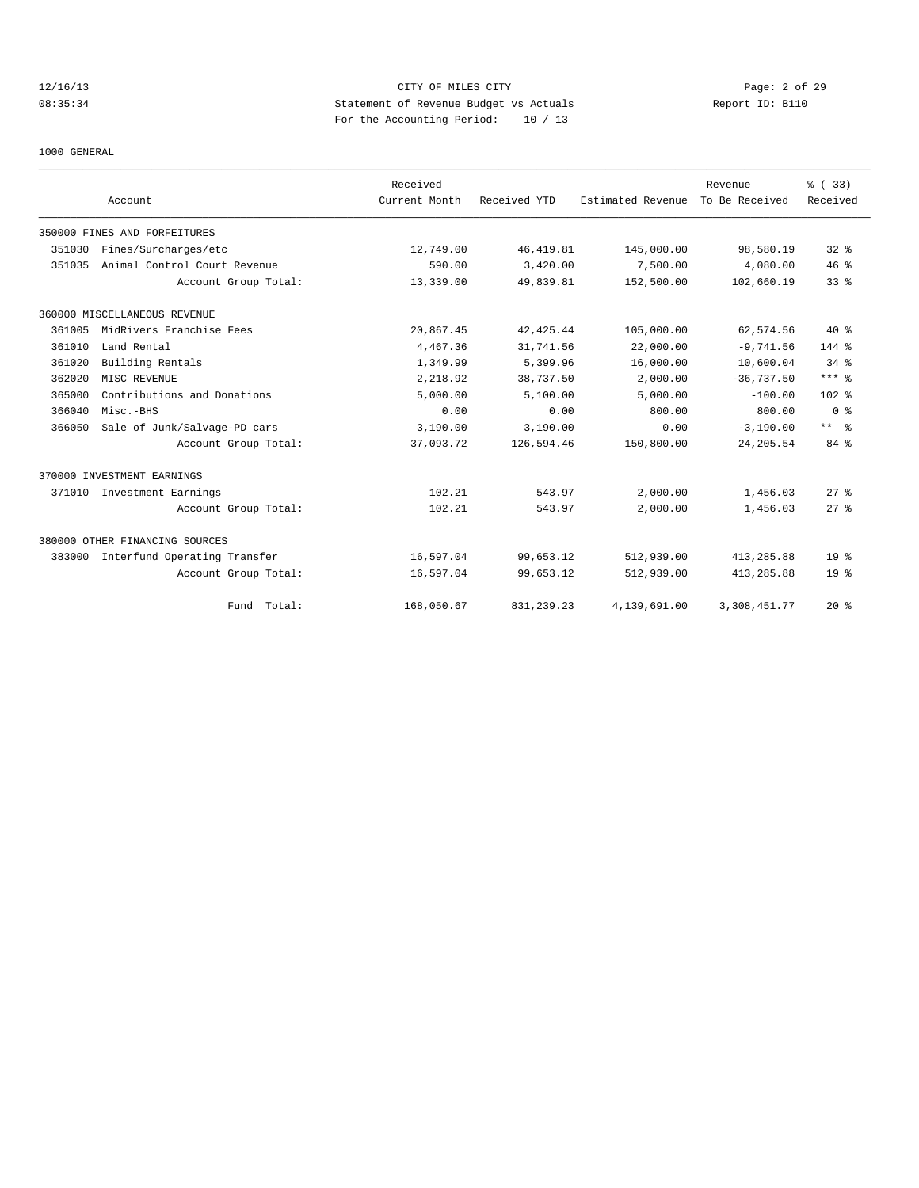# 12/16/13 CITY OF MILES CITY Page: 2 of 29 08:35:34 Statement of Revenue Budget vs Actuals Report ID: B110 For the Accounting Period: 10 / 13

1000 GENERAL

|        |                                | Received      |              |                   | Revenue        | % (33)               |
|--------|--------------------------------|---------------|--------------|-------------------|----------------|----------------------|
|        | Account                        | Current Month | Received YTD | Estimated Revenue | To Be Received | Received             |
|        | 350000 FINES AND FORFEITURES   |               |              |                   |                |                      |
| 351030 | Fines/Surcharges/etc           | 12,749.00     | 46, 419.81   | 145,000.00        | 98,580.19      | $32$ $%$             |
| 351035 | Animal Control Court Revenue   | 590.00        | 3,420.00     | 7,500.00          | 4,080.00       | 46%                  |
|        | Account Group Total:           | 13,339.00     | 49,839.81    | 152,500.00        | 102,660.19     | 33 <sup>8</sup>      |
|        | 360000 MISCELLANEOUS REVENUE   |               |              |                   |                |                      |
| 361005 | MidRivers Franchise Fees       | 20,867.45     | 42, 425.44   | 105,000.00        | 62,574.56      | $40*$                |
| 361010 | Land Rental                    | 4,467.36      | 31,741.56    | 22,000.00         | $-9,741.56$    | 144 %                |
| 361020 | Building Rentals               | 1,349.99      | 5,399.96     | 16,000.00         | 10,600.04      | $34$ $%$             |
| 362020 | MISC REVENUE                   | 2,218.92      | 38,737.50    | 2,000.00          | $-36,737.50$   | $***$ $%$            |
| 365000 | Contributions and Donations    | 5,000.00      | 5,100.00     | 5.000.00          | $-100.00$      | 102 <sub>8</sub>     |
| 366040 | Misc.-BHS                      | 0.00          | 0.00         | 800.00            | 800.00         | 0 <sup>8</sup>       |
| 366050 | Sale of Junk/Salvage-PD cars   | 3,190.00      | 3,190.00     | 0.00              | $-3,190.00$    | $***$ $ \frac{6}{9}$ |
|        | Account Group Total:           | 37,093.72     | 126,594.46   | 150,800.00        | 24, 205.54     | 84 %                 |
|        | 370000 INVESTMENT EARNINGS     |               |              |                   |                |                      |
| 371010 | Investment Earnings            | 102.21        | 543.97       | 2,000.00          | 1,456.03       | 27%                  |
|        | Account Group Total:           | 102.21        | 543.97       | 2,000.00          | 1,456.03       | $27$ %               |
|        | 380000 OTHER FINANCING SOURCES |               |              |                   |                |                      |
| 383000 | Interfund Operating Transfer   | 16,597.04     | 99,653.12    | 512,939.00        | 413,285.88     | 19 <sup>°</sup>      |
|        | Account Group Total:           | 16,597.04     | 99,653.12    | 512,939.00        | 413,285.88     | 19 <sup>°</sup>      |
|        | Fund Total:                    | 168,050.67    | 831, 239. 23 | 4,139,691.00      | 3,308,451.77   | $20*$                |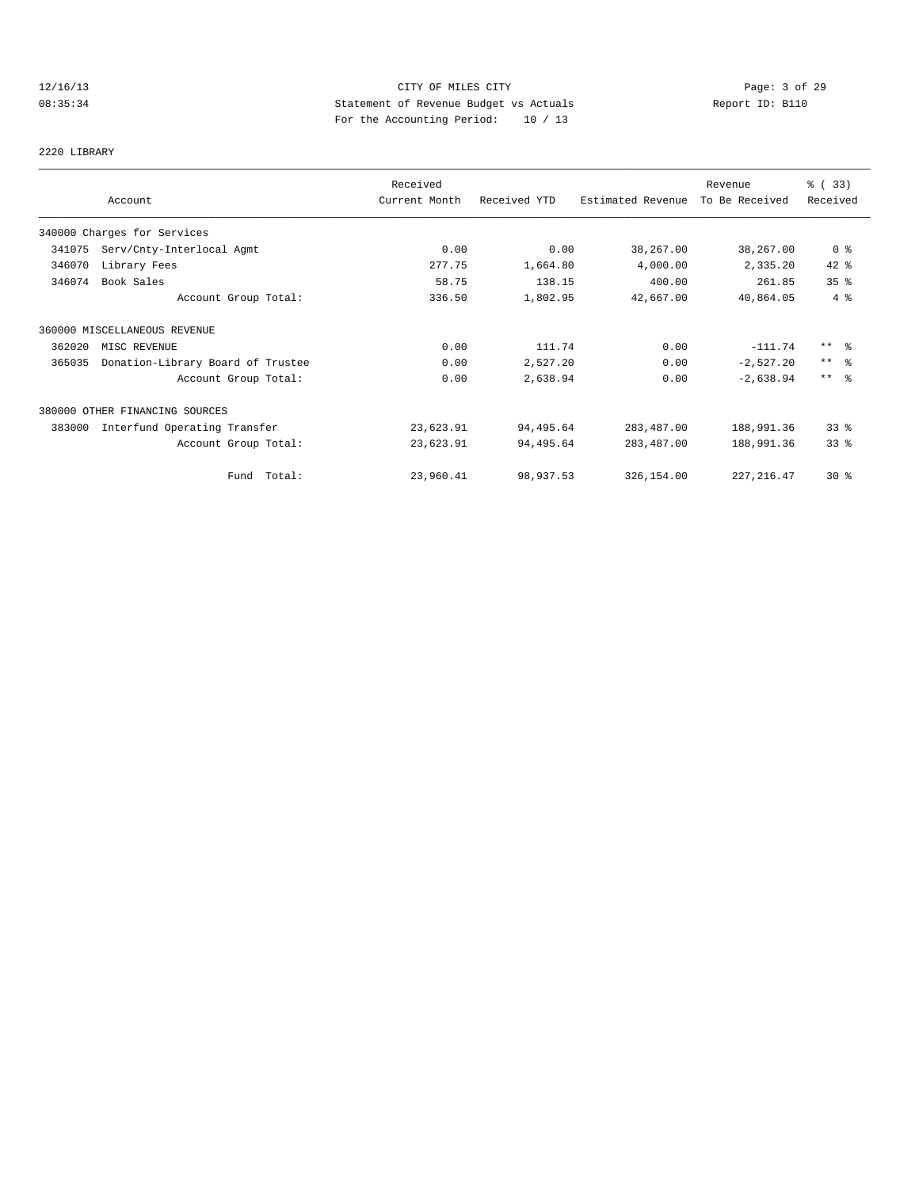# 12/16/13 CITY OF MILES CITY CHERE CITY Page: 3 of 29<br>
Statement of Revenue Budget vs Actuals<br>
For the Accumular Devial: 20 (20) Case of Peport ID: B110 08:35:34 Statement of Revenue Budget vs Actuals Report ID: B110 For the Accounting Period: 10 / 13

2220 LIBRARY

|        | Account                           | Received<br>Current Month | Received YTD | Estimated Revenue | Revenue<br>To Be Received | % (33)<br>Received |
|--------|-----------------------------------|---------------------------|--------------|-------------------|---------------------------|--------------------|
|        | 340000 Charges for Services       |                           |              |                   |                           |                    |
| 341075 | Serv/Cnty-Interlocal Agmt         | 0.00                      | 0.00         | 38,267.00         | 38,267.00                 | 0 <sub>8</sub>     |
| 346070 | Library Fees                      | 277.75                    | 1,664.80     | 4,000.00          | 2,335.20                  | $42$ %             |
| 346074 | Book Sales                        | 58.75                     | 138.15       | 400.00            | 261.85                    | 35%                |
|        | Account Group Total:              | 336.50                    | 1,802.95     | 42,667.00         | 40,864.05                 | 4%                 |
|        | 360000 MISCELLANEOUS REVENUE      |                           |              |                   |                           |                    |
| 362020 | MISC REVENUE                      | 0.00                      | 111.74       | 0.00              | $-111.74$                 | $***$ %            |
| 365035 | Donation-Library Board of Trustee | 0.00                      | 2,527.20     | 0.00              | $-2,527.20$               | $***$ $\approx$    |
|        | Account Group Total:              | 0.00                      | 2,638.94     | 0.00              | $-2,638.94$               | $***$ $ -$         |
|        | 380000 OTHER FINANCING SOURCES    |                           |              |                   |                           |                    |
| 383000 | Interfund Operating Transfer      | 23,623.91                 | 94,495.64    | 283, 487.00       | 188,991.36                | 33 <sup>8</sup>    |
|        | Account Group Total:              | 23,623.91                 | 94,495.64    | 283,487.00        | 188,991.36                | 33 <sup>8</sup>    |
|        | Fund Total:                       | 23,960.41                 | 98,937.53    | 326,154.00        | 227, 216.47               | $30*$              |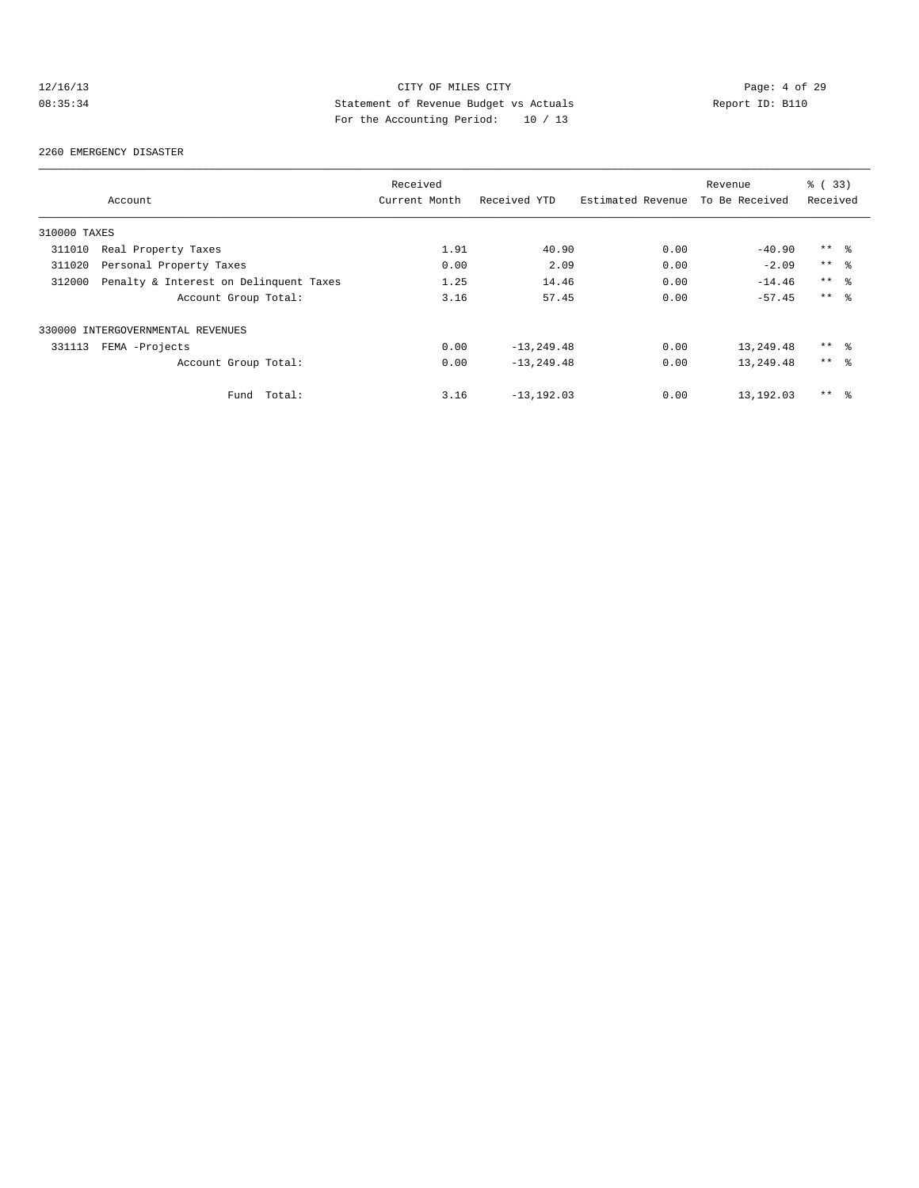# 12/16/13 CITY OF MILES CITY CHERE CITY Page: 4 of 29<br>
Statement of Revenue Budget vs Actuals Report ID: B110<br>
For the localistic Devial: 20 (20) 08:35:34 Statement of Revenue Budget vs Actuals Report ID: B110 For the Accounting Period: 10 / 13

#### 2260 EMERGENCY DISASTER

|              |                                        | Received      |                |                   | Revenue        | 8 (33)          |  |
|--------------|----------------------------------------|---------------|----------------|-------------------|----------------|-----------------|--|
|              | Account                                | Current Month | Received YTD   | Estimated Revenue | To Be Received | Received        |  |
| 310000 TAXES |                                        |               |                |                   |                |                 |  |
| 311010       | Real Property Taxes                    | 1.91          | 40.90          | 0.00              | $-40.90$       | $***$ $\approx$ |  |
| 311020       | Personal Property Taxes                | 0.00          | 2.09           | 0.00              | $-2.09$        | $***$ $\approx$ |  |
| 312000       | Penalty & Interest on Delinquent Taxes | 1.25          | 14.46          | 0.00              | $-14.46$       | $***$ $\approx$ |  |
|              | Account Group Total:                   | 3.16          | 57.45          | 0.00              | $-57.45$       | $***$ $\approx$ |  |
|              | 330000 INTERGOVERNMENTAL REVENUES      |               |                |                   |                |                 |  |
| 331113       | FEMA -Projects                         | 0.00          | $-13, 249.48$  | 0.00              | 13,249.48      | $***$ %         |  |
|              | Account Group Total:                   | 0.00          | $-13, 249, 48$ | 0.00              | 13,249.48      | $***$ %         |  |
|              | Total:<br>Fund                         | 3.16          | $-13, 192, 03$ | 0.00              | 13,192.03      | $***$ %         |  |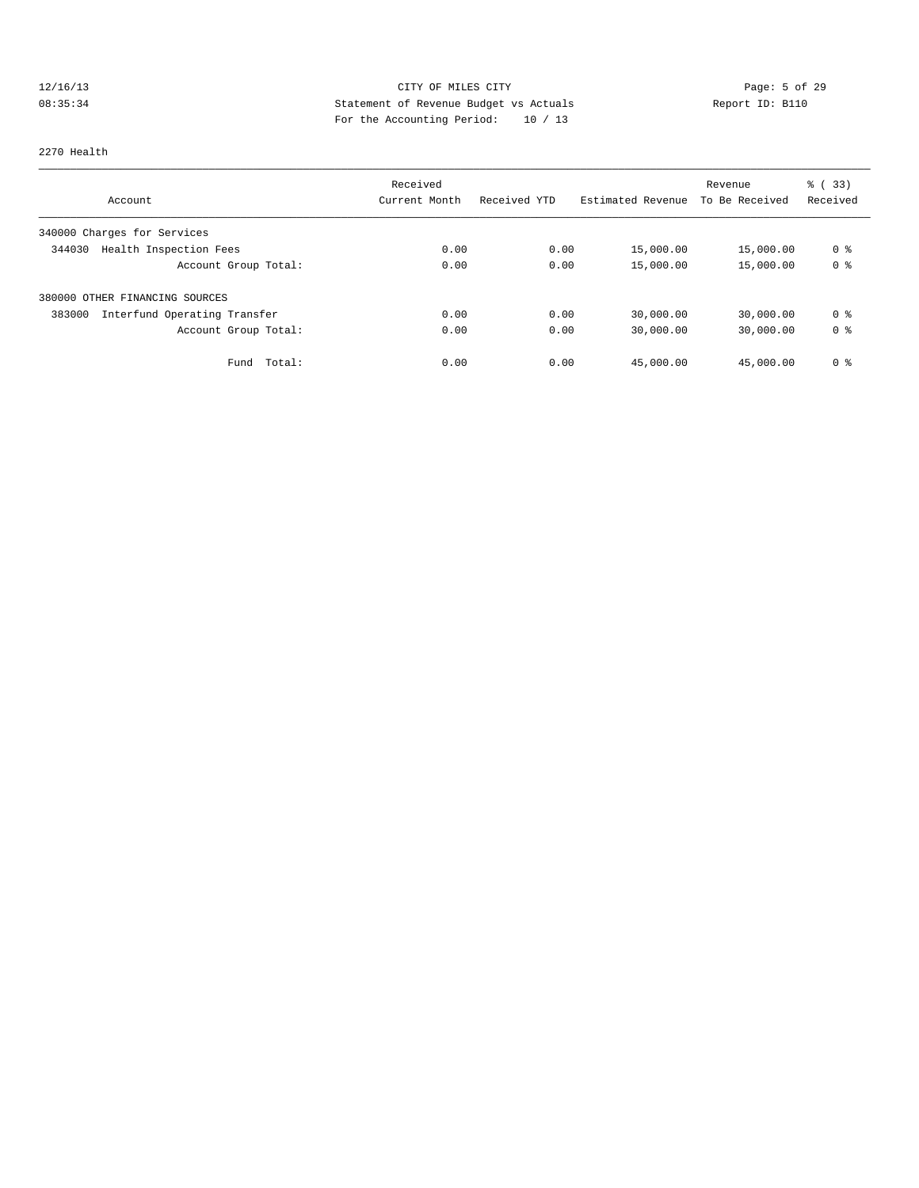# 12/16/13 CITY OF MILES CITY Page: 5 of 29 08:35:34 Statement of Revenue Budget vs Actuals Report ID: B110<br>Report ID: B110 For the Accounting Period: 10 / 13

#### 2270 Health

|                                        | Received      |              |                   | Revenue        | % (33)         |
|----------------------------------------|---------------|--------------|-------------------|----------------|----------------|
| Account                                | Current Month | Received YTD | Estimated Revenue | To Be Received | Received       |
| 340000 Charges for Services            |               |              |                   |                |                |
| Health Inspection Fees<br>344030       | 0.00          | 0.00         | 15,000.00         | 15,000.00      | 0 <sup>8</sup> |
| Account Group Total:                   | 0.00          | 0.00         | 15,000.00         | 15,000.00      | 0 <sup>8</sup> |
| 380000 OTHER FINANCING SOURCES         |               |              |                   |                |                |
| 383000<br>Interfund Operating Transfer | 0.00          | 0.00         | 30,000.00         | 30,000.00      | 0 %            |
| Account Group Total:                   | 0.00          | 0.00         | 30,000.00         | 30,000.00      | 0 <sup>8</sup> |
| Total:<br>Fund                         | 0.00          | 0.00         | 45,000.00         | 45,000.00      | 0 <sup>8</sup> |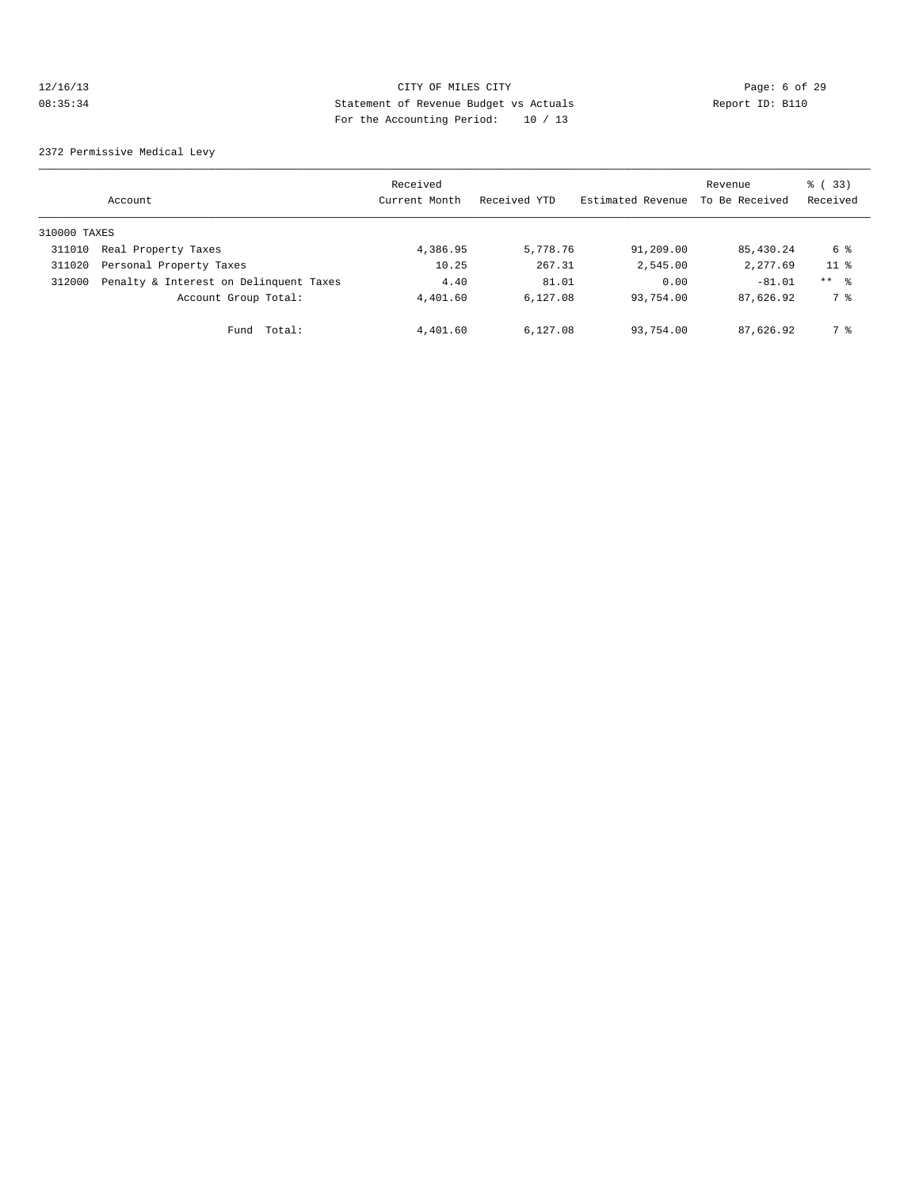# 12/16/13 CITY OF MILES CITY Page: 6 of 29 08:35:34 Statement of Revenue Budget vs Actuals Report ID: B110 For the Accounting Period: 10 / 13

2372 Permissive Medical Levy

|              | Account                                | Received<br>Current Month | Received YTD | Estimated Revenue | Revenue<br>To Be Received | 8 (33)<br>Received |
|--------------|----------------------------------------|---------------------------|--------------|-------------------|---------------------------|--------------------|
| 310000 TAXES |                                        |                           |              |                   |                           |                    |
| 311010       | Real Property Taxes                    | 4,386.95                  | 5,778.76     | 91,209.00         | 85,430.24                 | 6 %                |
| 311020       | Personal Property Taxes                | 10.25                     | 267.31       | 2,545.00          | 2,277.69                  | 11 <sup>8</sup>    |
| 312000       | Penalty & Interest on Delinquent Taxes | 4.40                      | 81.01        | 0.00              | $-81.01$                  | $***$ %            |
|              | Account Group Total:                   | 4,401.60                  | 6.127.08     | 93,754.00         | 87,626.92                 | 7 %                |
|              | Fund Total:                            | 4,401.60                  | 6,127.08     | 93,754.00         | 87,626.92                 | 7 %                |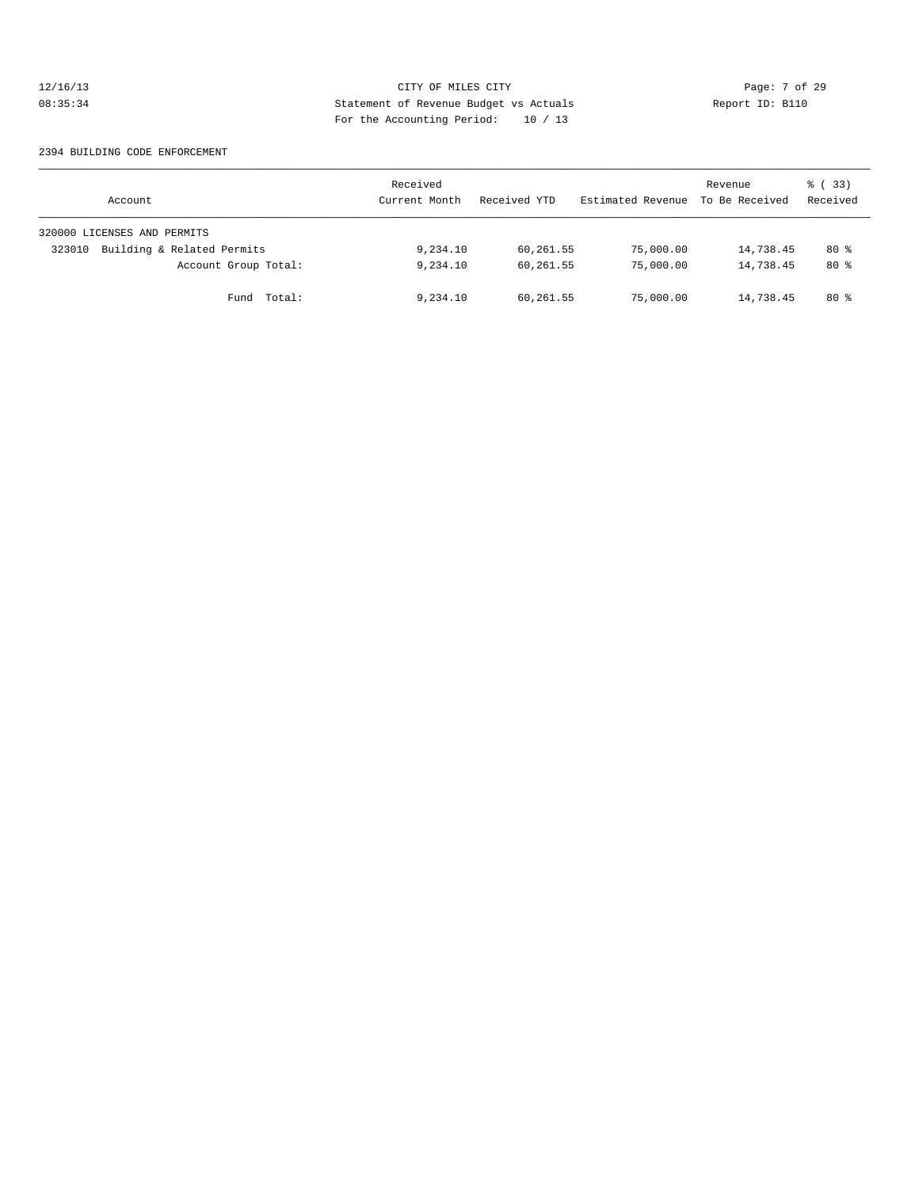# 12/16/13 CITY OF MILES CITY CHERE CITY Page: 7 of 29<br>
Statement of Revenue Budget vs Actuals<br>
For the Accumular Devial: 20 (20) Contains and the Containst Contains and the Contains of Contains and the Report ID: B110 08:35:34 Statement of Revenue Budget vs Actuals Report ID: B110 For the Accounting Period: 10 / 13

#### 2394 BUILDING CODE ENFORCEMENT

| Account                              | Received<br>Current Month | Received YTD | Estimated Revenue | Revenue<br>To Be Received | 8 (33)<br>Received |
|--------------------------------------|---------------------------|--------------|-------------------|---------------------------|--------------------|
| 320000 LICENSES AND PERMITS          |                           |              |                   |                           |                    |
| Building & Related Permits<br>323010 | 9,234.10                  | 60,261.55    | 75,000.00         | 14,738.45                 | $80*$              |
| Account Group Total:                 | 9,234.10                  | 60,261.55    | 75,000.00         | 14,738.45                 | $80*$              |
| Fund Total:                          | 9,234.10                  | 60,261.55    | 75,000.00         | 14,738.45                 | 80 %               |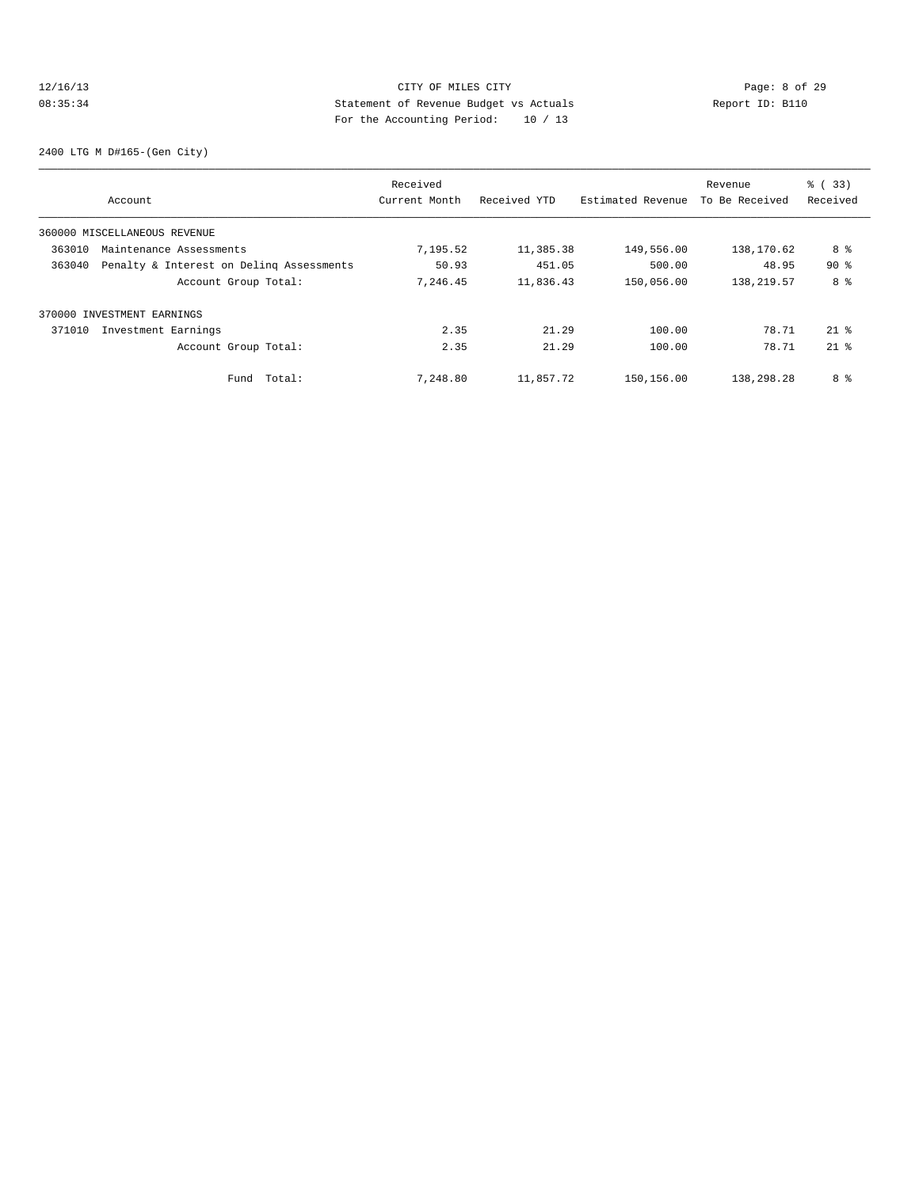# 12/16/13 CITY OF MILES CITY CHERE CITY Page: 8 of 29<br>
Statement of Revenue Budget vs Actuals<br>
For the Accumular Devial: 20 (20) Case of 20 Report ID: B110 08:35:34 Statement of Revenue Budget vs Actuals Report ID: B110 For the Accounting Period: 10 / 13

2400 LTG M D#165-(Gen City)

|        |                                          | Received      |              |                   | Revenue        | % (33)   |
|--------|------------------------------------------|---------------|--------------|-------------------|----------------|----------|
|        | Account                                  | Current Month | Received YTD | Estimated Revenue | To Be Received | Received |
|        | 360000 MISCELLANEOUS REVENUE             |               |              |                   |                |          |
| 363010 | Maintenance Assessments                  | 7,195.52      | 11,385.38    | 149,556.00        | 138,170.62     | 8 %      |
| 363040 | Penalty & Interest on Deling Assessments | 50.93         | 451.05       | 500.00            | 48.95          | 90%      |
|        | Account Group Total:                     | 7,246.45      | 11,836.43    | 150,056.00        | 138,219.57     | 8 %      |
|        | 370000 INVESTMENT EARNINGS               |               |              |                   |                |          |
| 371010 | Investment Earnings                      | 2.35          | 21.29        | 100.00            | 78.71          | $21$ %   |
|        | Account Group Total:                     | 2.35          | 21.29        | 100.00            | 78.71          | $21$ $%$ |
|        | Fund Total:                              | 7,248.80      | 11,857.72    | 150,156.00        | 138,298.28     | 8 %      |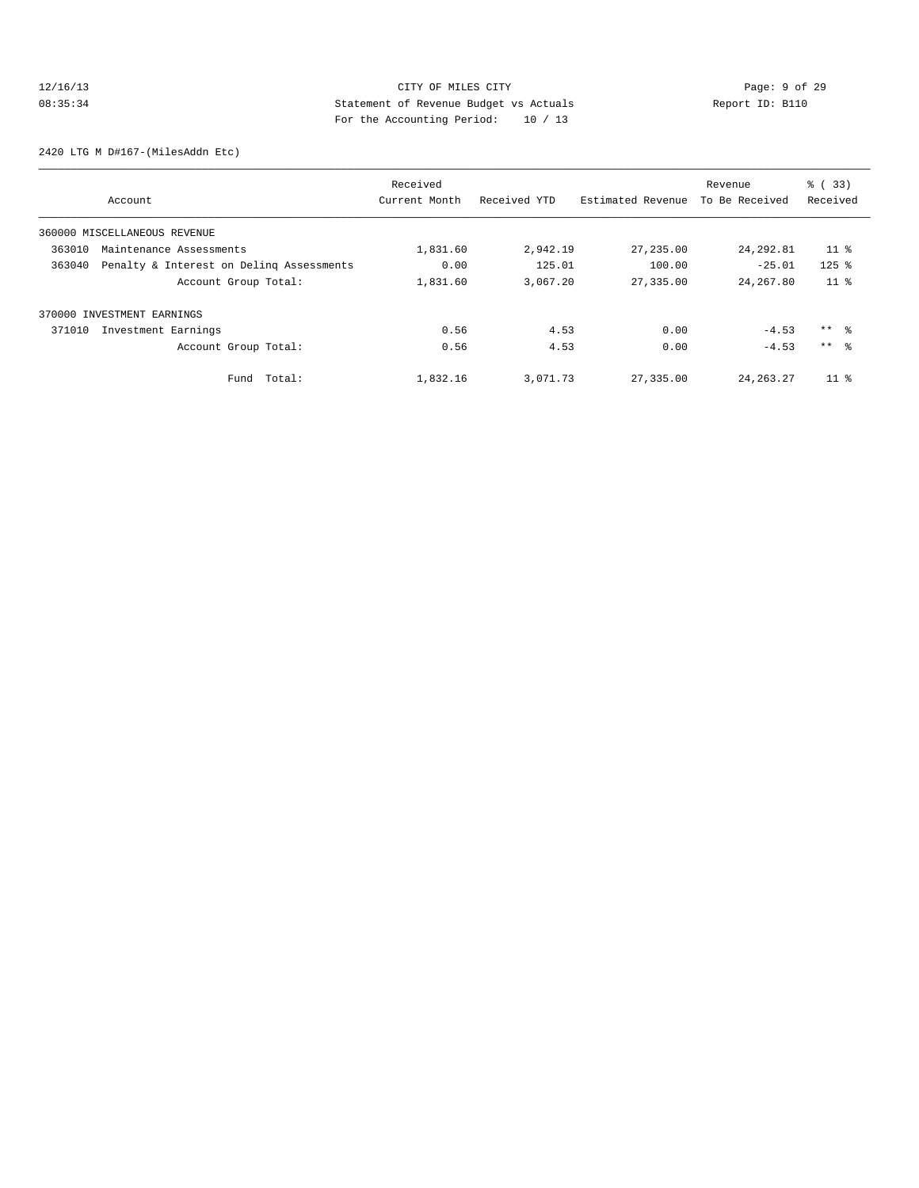# 12/16/13 CITY OF MILES CITY CHERE CITY Page: 9 of 29<br>
Statement of Revenue Budget vs Actuals<br>
For the Accumular Devial: 20 (20) Case of Paport ID: B110 08:35:34 Statement of Revenue Budget vs Actuals Report ID: B110 For the Accounting Period: 10 / 13

2420 LTG M D#167-(MilesAddn Etc)

|        |                                          | Received      |              |                   | Revenue        | % (33)          |
|--------|------------------------------------------|---------------|--------------|-------------------|----------------|-----------------|
|        | Account                                  | Current Month | Received YTD | Estimated Revenue | To Be Received | Received        |
|        | 360000 MISCELLANEOUS REVENUE             |               |              |                   |                |                 |
| 363010 | Maintenance Assessments                  | 1,831.60      | 2,942.19     | 27, 235.00        | 24, 292.81     | $11$ %          |
| 363040 | Penalty & Interest on Deling Assessments | 0.00          | 125.01       | 100.00            | $-25.01$       | $125$ %         |
|        | Account Group Total:                     | 1,831.60      | 3,067.20     | 27,335.00         | 24, 267, 80    | 11 <sup>8</sup> |
|        | 370000 INVESTMENT EARNINGS               |               |              |                   |                |                 |
| 371010 | Investment Earnings                      | 0.56          | 4.53         | 0.00              | $-4.53$        | ** 왕            |
|        | Account Group Total:                     | 0.56          | 4.53         | 0.00              | $-4.53$        | $***$ %         |
|        | Total:<br>Fund                           | 1,832.16      | 3,071.73     | 27,335.00         | 24, 263, 27    | $11*$           |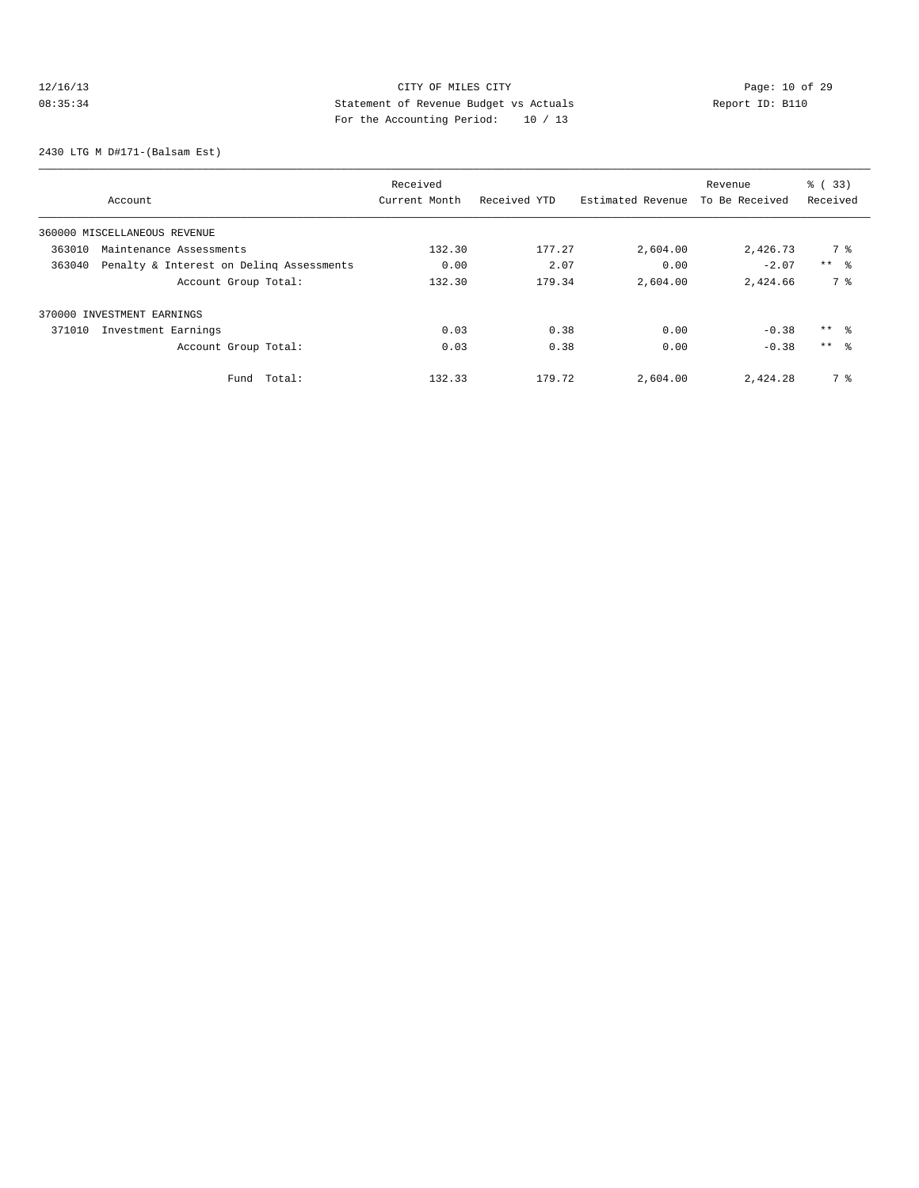# 12/16/13 CITY OF MILES CITY<br>
08:35:34 Deport ID: B110<br>
For the becausing posied: 10 (12) Cases in the because of the becausing posied: 10 (12) 08:35:34 Statement of Revenue Budget vs Actuals Report ID: B110 For the Accounting Period: 10 / 13

2430 LTG M D#171-(Balsam Est)

|        |                                          | Received      |              |                   | Revenue        | % (33)          |
|--------|------------------------------------------|---------------|--------------|-------------------|----------------|-----------------|
|        | Account                                  | Current Month | Received YTD | Estimated Revenue | To Be Received | Received        |
|        | 360000 MISCELLANEOUS REVENUE             |               |              |                   |                |                 |
| 363010 | Maintenance Assessments                  | 132.30        | 177.27       | 2,604.00          | 2,426.73       | 7 %             |
| 363040 | Penalty & Interest on Deling Assessments | 0.00          | 2.07         | 0.00              | $-2.07$        | $***$ %         |
|        | Account Group Total:                     | 132.30        | 179.34       | 2,604.00          | 2,424.66       | 7 %             |
|        | 370000 INVESTMENT EARNINGS               |               |              |                   |                |                 |
| 371010 | Investment Earnings                      | 0.03          | 0.38         | 0.00              | $-0.38$        | ** %            |
|        | Account Group Total:                     | 0.03          | 0.38         | 0.00              | $-0.38$        | $***$ $\approx$ |
|        | Total:<br>Fund                           | 132.33        | 179.72       | 2,604.00          | 2,424.28       | 7 %             |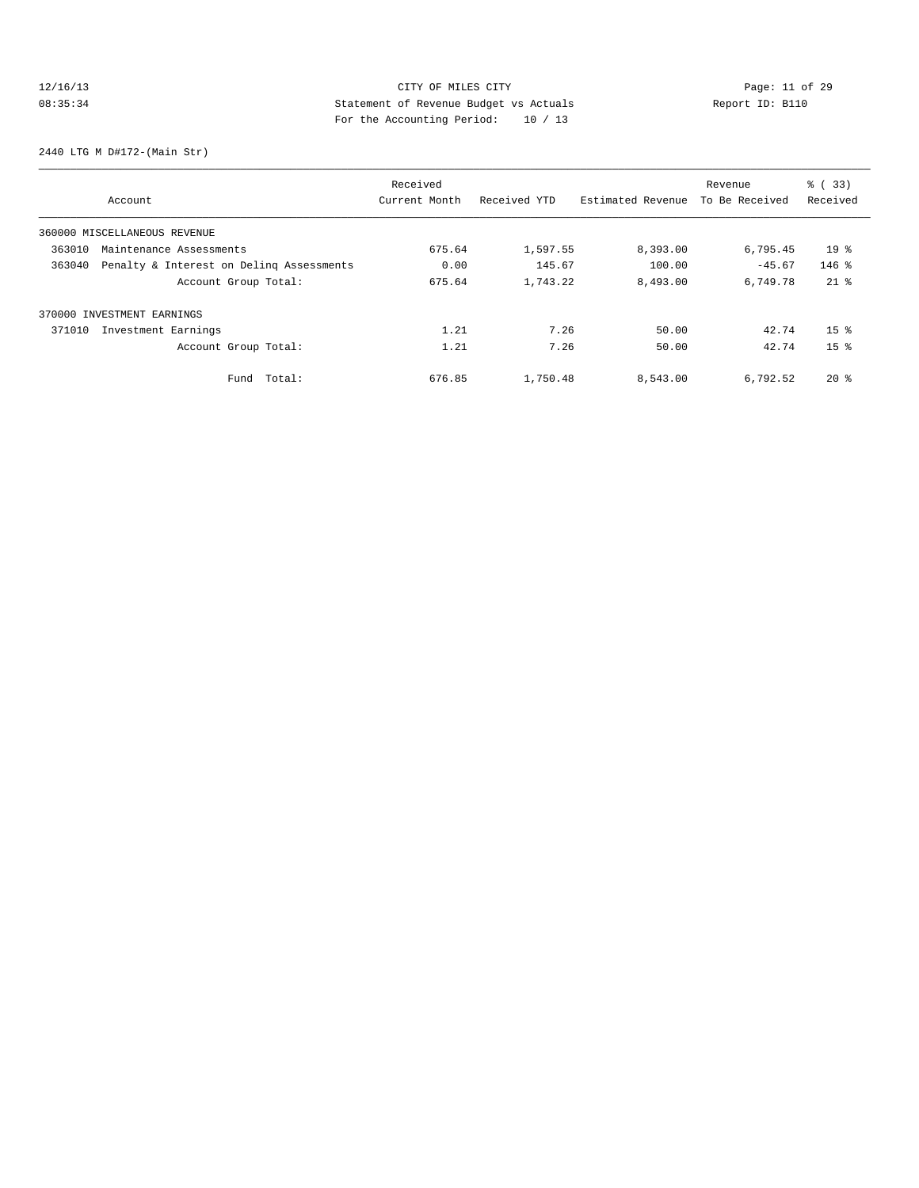# 12/16/13 Page: 11 of 29 08:35:34 Statement of Revenue Budget vs Actuals Report ID: B110 For the Accounting Period: 10 / 13

2440 LTG M D#172-(Main Str)

|        |                                          | Received      |              |                   | Revenue        | % (33)          |
|--------|------------------------------------------|---------------|--------------|-------------------|----------------|-----------------|
|        | Account                                  | Current Month | Received YTD | Estimated Revenue | To Be Received | Received        |
|        | 360000 MISCELLANEOUS REVENUE             |               |              |                   |                |                 |
| 363010 | Maintenance Assessments                  | 675.64        | 1,597.55     | 8,393.00          | 6,795.45       | 19 <sup>8</sup> |
| 363040 | Penalty & Interest on Deling Assessments | 0.00          | 145.67       | 100.00            | $-45.67$       | $146$ %         |
|        | Account Group Total:                     | 675.64        | 1,743.22     | 8,493.00          | 6,749.78       | $21*$           |
|        | 370000 INVESTMENT EARNINGS               |               |              |                   |                |                 |
| 371010 | Investment Earnings                      | 1.21          | 7.26         | 50.00             | 42.74          | 15 <sup>8</sup> |
|        | Account Group Total:                     | 1.21          | 7.26         | 50.00             | 42.74          | 15 <sup>8</sup> |
|        | Total:<br>Fund                           | 676.85        | 1,750.48     | 8,543.00          | 6,792.52       | $20*$           |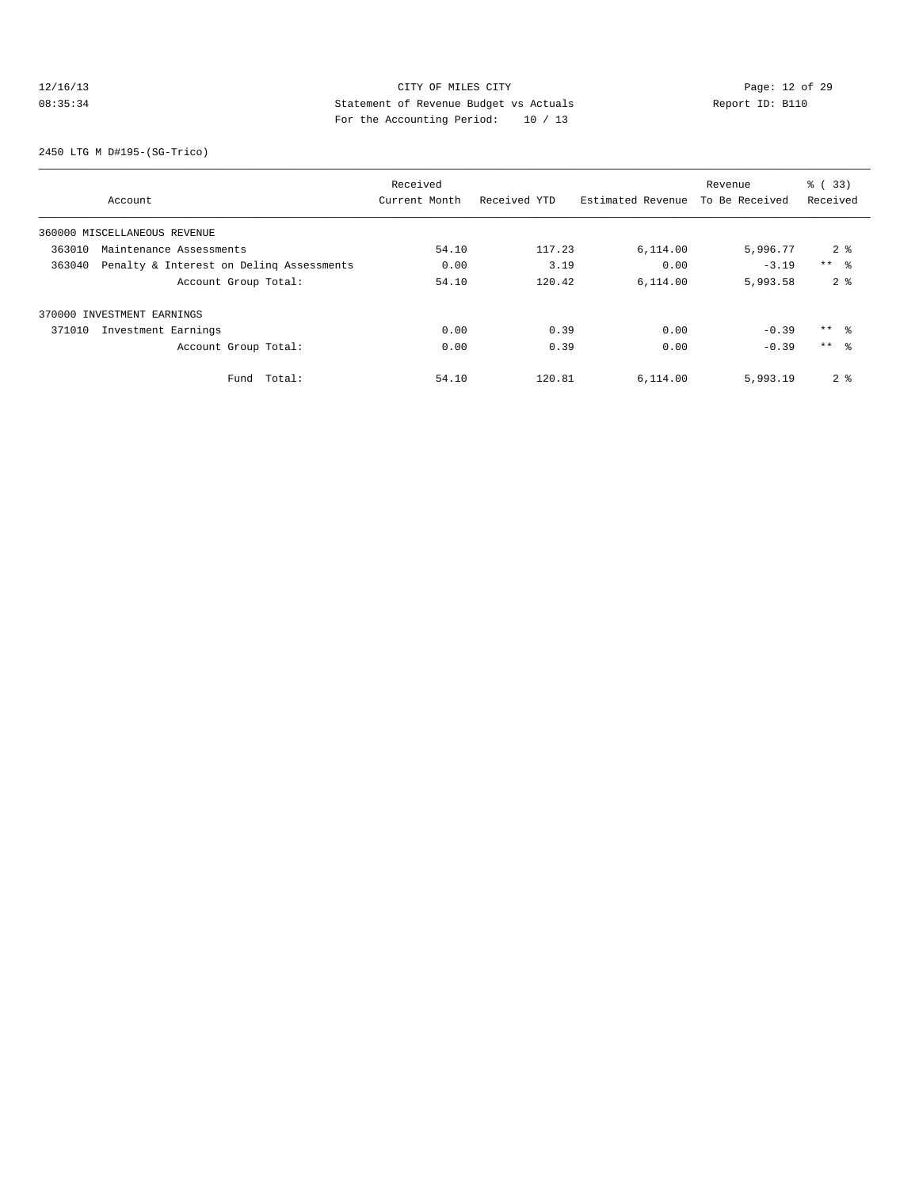# 12/16/13 CITY OF MILES CITY<br>
08:35:34 Deport ID: B110<br>
For the becausing posied: 10 (12) Cases of 29<br>
Page: 12 of 29<br>
Page: 12 of 29<br>
Page: 12 of 29 08:35:34 Statement of Revenue Budget vs Actuals Report ID: B110 For the Accounting Period: 10 / 13

2450 LTG M D#195-(SG-Trico)

|        |                                          | Received      |              |                   | Revenue        | % (33)          |
|--------|------------------------------------------|---------------|--------------|-------------------|----------------|-----------------|
|        | Account                                  | Current Month | Received YTD | Estimated Revenue | To Be Received | Received        |
|        | 360000 MISCELLANEOUS REVENUE             |               |              |                   |                |                 |
| 363010 | Maintenance Assessments                  | 54.10         | 117.23       | 6,114.00          | 5,996.77       | 2 <sup>8</sup>  |
| 363040 | Penalty & Interest on Deling Assessments | 0.00          | 3.19         | 0.00              | $-3.19$        | $***$ $ -$      |
|        | Account Group Total:                     | 54.10         | 120.42       | 6.114.00          | 5,993.58       | 2 <sup>8</sup>  |
|        | 370000 INVESTMENT EARNINGS               |               |              |                   |                |                 |
| 371010 | Investment Earnings                      | 0.00          | 0.39         | 0.00              | $-0.39$        | $***$ $\approx$ |
|        | Account Group Total:                     | 0.00          | 0.39         | 0.00              | $-0.39$        | $***$ $\approx$ |
|        | Total:<br>Fund                           | 54.10         | 120.81       | 6,114.00          | 5,993.19       | 2 <sup>°</sup>  |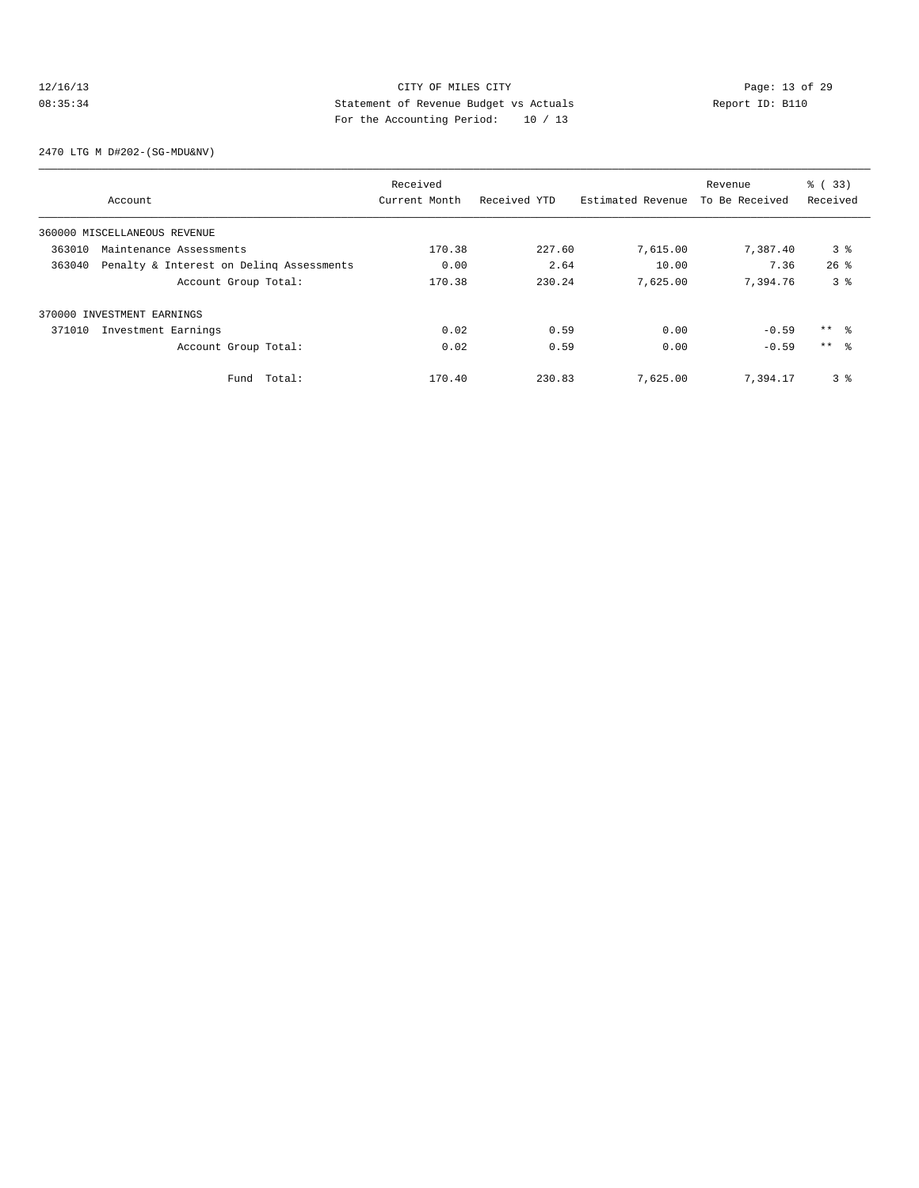# 12/16/13 Page: 13 of 29 08:35:34 Statement of Revenue Budget vs Actuals Report ID: B110 For the Accounting Period: 10 / 13

2470 LTG M D#202-(SG-MDU&NV)

|        |                                          | Received      |              |                   | Revenue        | % (33)         |
|--------|------------------------------------------|---------------|--------------|-------------------|----------------|----------------|
|        | Account                                  | Current Month | Received YTD | Estimated Revenue | To Be Received | Received       |
|        | 360000 MISCELLANEOUS REVENUE             |               |              |                   |                |                |
| 363010 | Maintenance Assessments                  | 170.38        | 227.60       | 7,615.00          | 7,387.40       | 3 <sup>8</sup> |
| 363040 | Penalty & Interest on Deling Assessments | 0.00          | 2.64         | 10.00             | 7.36           | $26$ $%$       |
|        | Account Group Total:                     | 170.38        | 230.24       | 7,625.00          | 7.394.76       | 3 <sup>8</sup> |
|        | 370000 INVESTMENT EARNINGS               |               |              |                   |                |                |
| 371010 | Investment Earnings                      | 0.02          | 0.59         | 0.00              | $-0.59$        | $***$ 8        |
|        | Account Group Total:                     | 0.02          | 0.59         | 0.00              | $-0.59$        | $***$ 8        |
|        | Fund Total:                              | 170.40        | 230.83       | 7,625.00          | 7.394.17       | 3 <sup>8</sup> |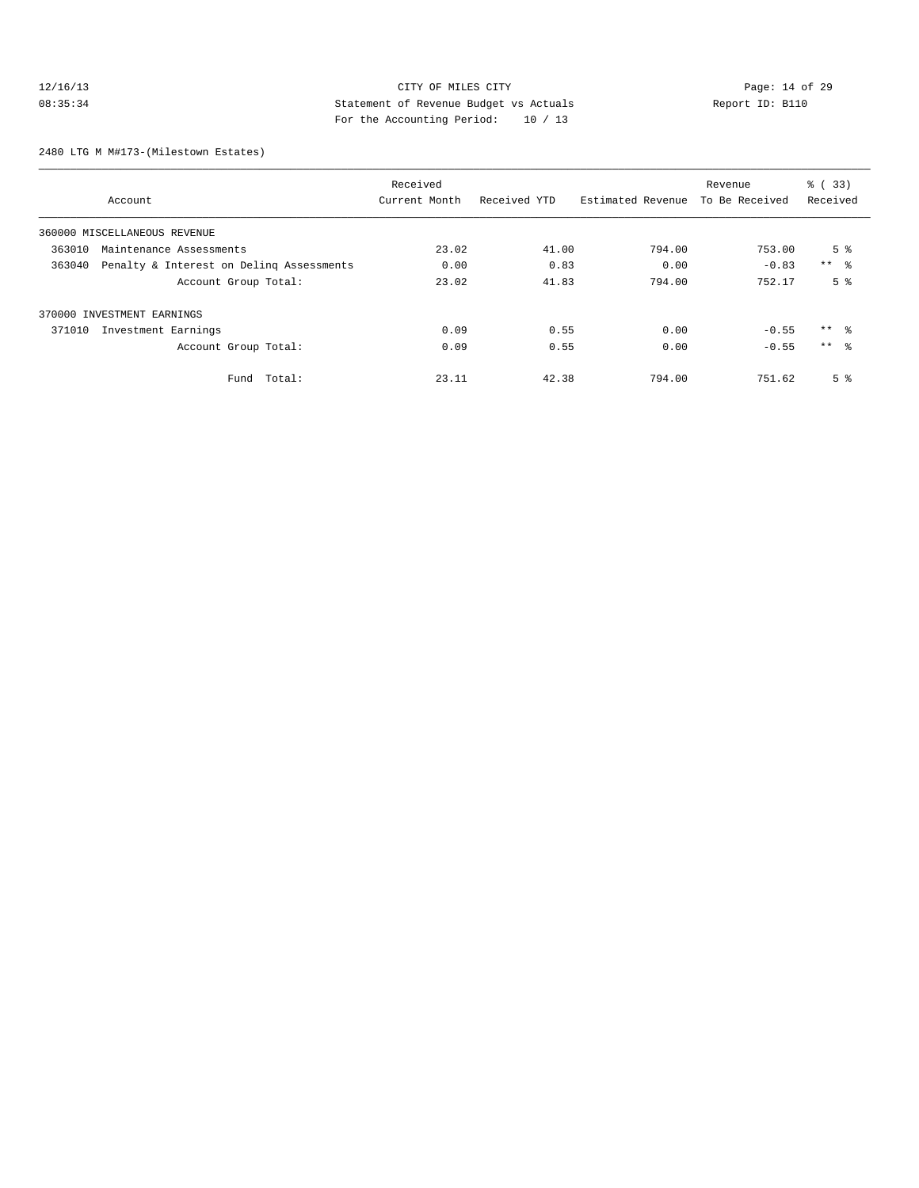# 12/16/13 CITY OF MILES CITY<br>
08:35:34 Deport ID: B110<br>
For the Accounting Device: 10 (10)<br>
The Accounting Device: 10 (10)<br>
The Accounting Device: 10 (10) 08:35:34 Statement of Revenue Budget vs Actuals Report ID: B110 For the Accounting Period: 10 / 13

2480 LTG M M#173-(Milestown Estates)

|        |                                          | Received      |              |                   | Revenue        | % (33)          |
|--------|------------------------------------------|---------------|--------------|-------------------|----------------|-----------------|
|        | Account                                  | Current Month | Received YTD | Estimated Revenue | To Be Received | Received        |
|        | 360000 MISCELLANEOUS REVENUE             |               |              |                   |                |                 |
| 363010 | Maintenance Assessments                  | 23.02         | 41.00        | 794.00            | 753.00         | 5 <sup>8</sup>  |
| 363040 | Penalty & Interest on Deling Assessments | 0.00          | 0.83         | 0.00              | $-0.83$        | $***$ $ -$      |
|        | Account Group Total:                     | 23.02         | 41.83        | 794.00            | 752.17         | 5 <sup>8</sup>  |
|        | 370000 INVESTMENT EARNINGS               |               |              |                   |                |                 |
| 371010 | Investment Earnings                      | 0.09          | 0.55         | 0.00              | $-0.55$        | $***$ 8         |
|        | Account Group Total:                     | 0.09          | 0.55         | 0.00              | $-0.55$        | $***$ $\approx$ |
|        | Total:<br>Fund                           | 23.11         | 42.38        | 794.00            | 751.62         | 5 <sup>8</sup>  |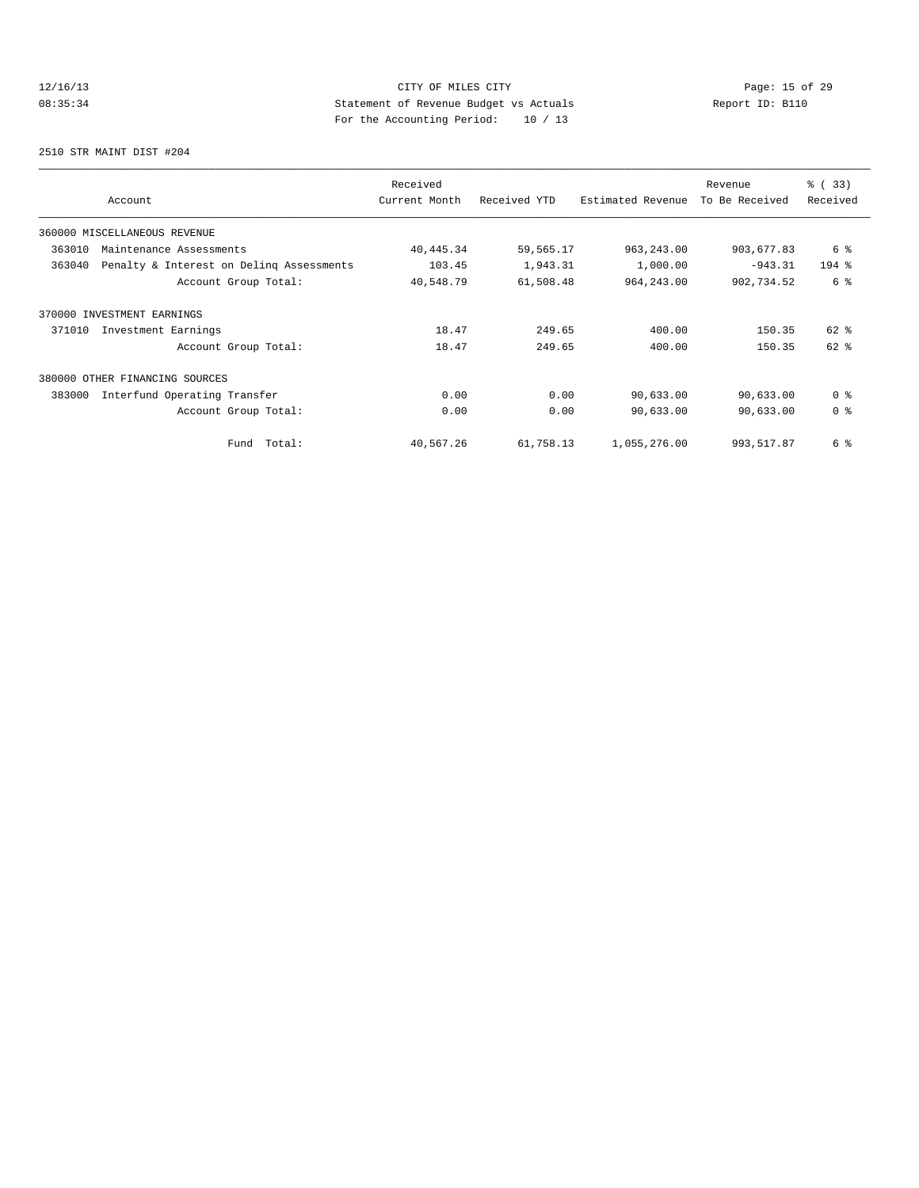# 12/16/13 Page: 15 of 29 08:35:34 Statement of Revenue Budget vs Actuals Report ID: B110<br>Report ID: B110 For the Accounting Period: 10 / 13

2510 STR MAINT DIST #204

| Account                                            | Received<br>Current Month | Received YTD | Estimated Revenue | Revenue<br>To Be Received | % (33)<br>Received |
|----------------------------------------------------|---------------------------|--------------|-------------------|---------------------------|--------------------|
| 360000 MISCELLANEOUS REVENUE                       |                           |              |                   |                           |                    |
| 363010<br>Maintenance Assessments                  | 40, 445.34                | 59,565.17    | 963, 243.00       | 903,677.83                | 6 %                |
| Penalty & Interest on Deling Assessments<br>363040 | 103.45                    | 1,943.31     | 1,000.00          | $-943.31$                 | $194$ %            |
| Account Group Total:                               | 40,548.79                 | 61,508.48    | 964, 243.00       | 902,734.52                | 6 %                |
| 370000 INVESTMENT EARNINGS                         |                           |              |                   |                           |                    |
| 371010<br>Investment Earnings                      | 18.47                     | 249.65       | 400.00            | 150.35                    | $62$ $%$           |
| Account Group Total:                               | 18.47                     | 249.65       | 400.00            | 150.35                    | $62$ $%$           |
| 380000 OTHER FINANCING SOURCES                     |                           |              |                   |                           |                    |
| 383000<br>Interfund Operating Transfer             | 0.00                      | 0.00         | 90,633.00         | 90,633.00                 | 0 <sup>8</sup>     |
| Account Group Total:                               | 0.00                      | 0.00         | 90,633.00         | 90,633.00                 | 0 <sup>8</sup>     |
| Total:<br>Fund                                     | 40,567.26                 | 61,758.13    | 1,055,276.00      | 993, 517.87               | 6 %                |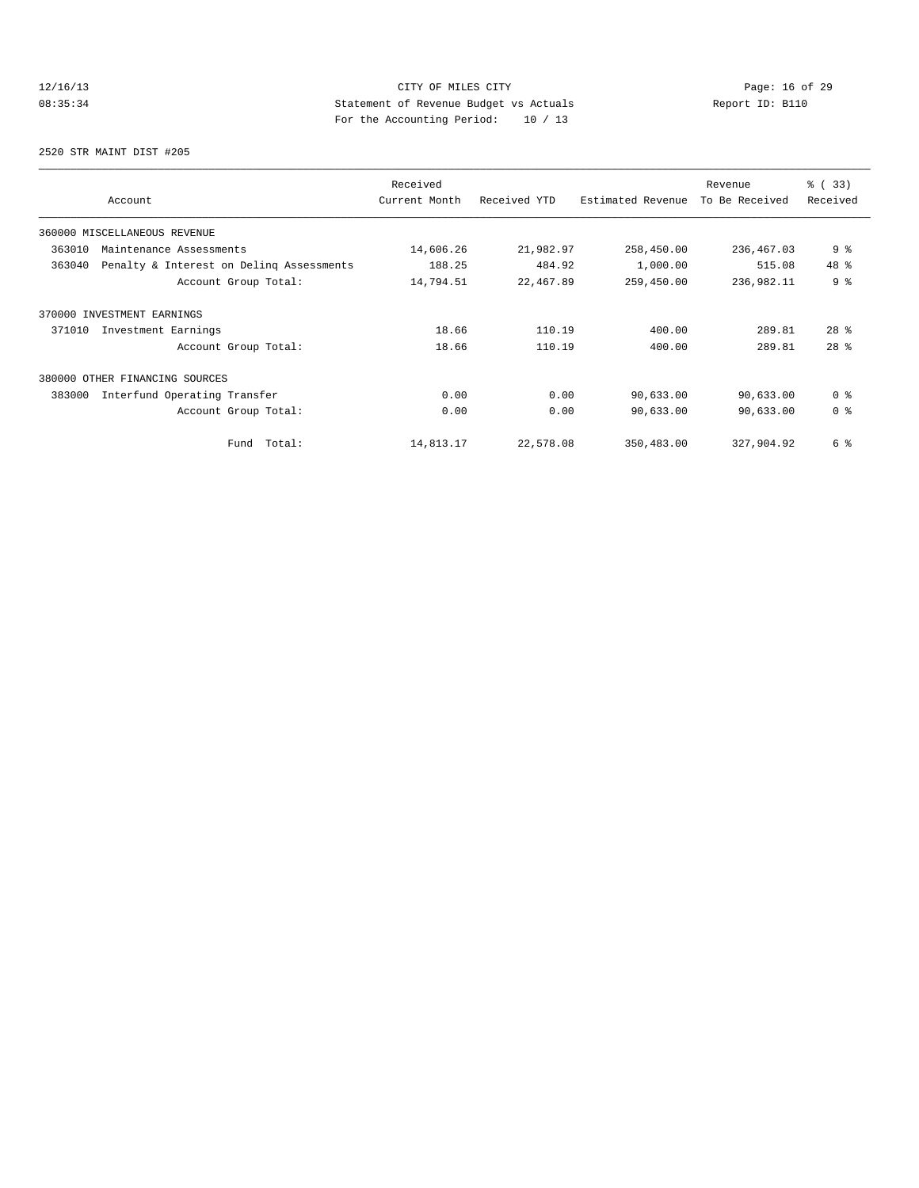# 12/16/13 Page: 16 of 29 08:35:34 Statement of Revenue Budget vs Actuals Report ID: B110<br>Report ID: B110 For the Accounting Period: 10 / 13

2520 STR MAINT DIST #205

| Account                                            | Received<br>Current Month | Received YTD | Estimated Revenue | Revenue<br>To Be Received | % (33)<br>Received |
|----------------------------------------------------|---------------------------|--------------|-------------------|---------------------------|--------------------|
| 360000 MISCELLANEOUS REVENUE                       |                           |              |                   |                           |                    |
| 363010<br>Maintenance Assessments                  | 14,606.26                 | 21,982.97    | 258,450.00        | 236,467.03                | 9%                 |
| 363040<br>Penalty & Interest on Deling Assessments | 188.25                    | 484.92       | 1,000.00          | 515.08                    | 48 %               |
| Account Group Total:                               | 14,794.51                 | 22,467.89    | 259,450.00        | 236,982.11                | 9 <sup>8</sup>     |
| 370000 INVESTMENT EARNINGS                         |                           |              |                   |                           |                    |
| Investment Earnings<br>371010                      | 18.66                     | 110.19       | 400.00            | 289.81                    | $28$ $%$           |
| Account Group Total:                               | 18.66                     | 110.19       | 400.00            | 289.81                    | 28 <sup>8</sup>    |
| 380000<br>OTHER FINANCING SOURCES                  |                           |              |                   |                           |                    |
| 383000<br>Interfund Operating Transfer             | 0.00                      | 0.00         | 90,633.00         | 90,633.00                 | 0 <sup>8</sup>     |
| Account Group Total:                               | 0.00                      | 0.00         | 90,633.00         | 90,633.00                 | 0 <sup>8</sup>     |
| Total:<br>Fund                                     | 14,813.17                 | 22,578.08    | 350,483.00        | 327,904.92                | 6 %                |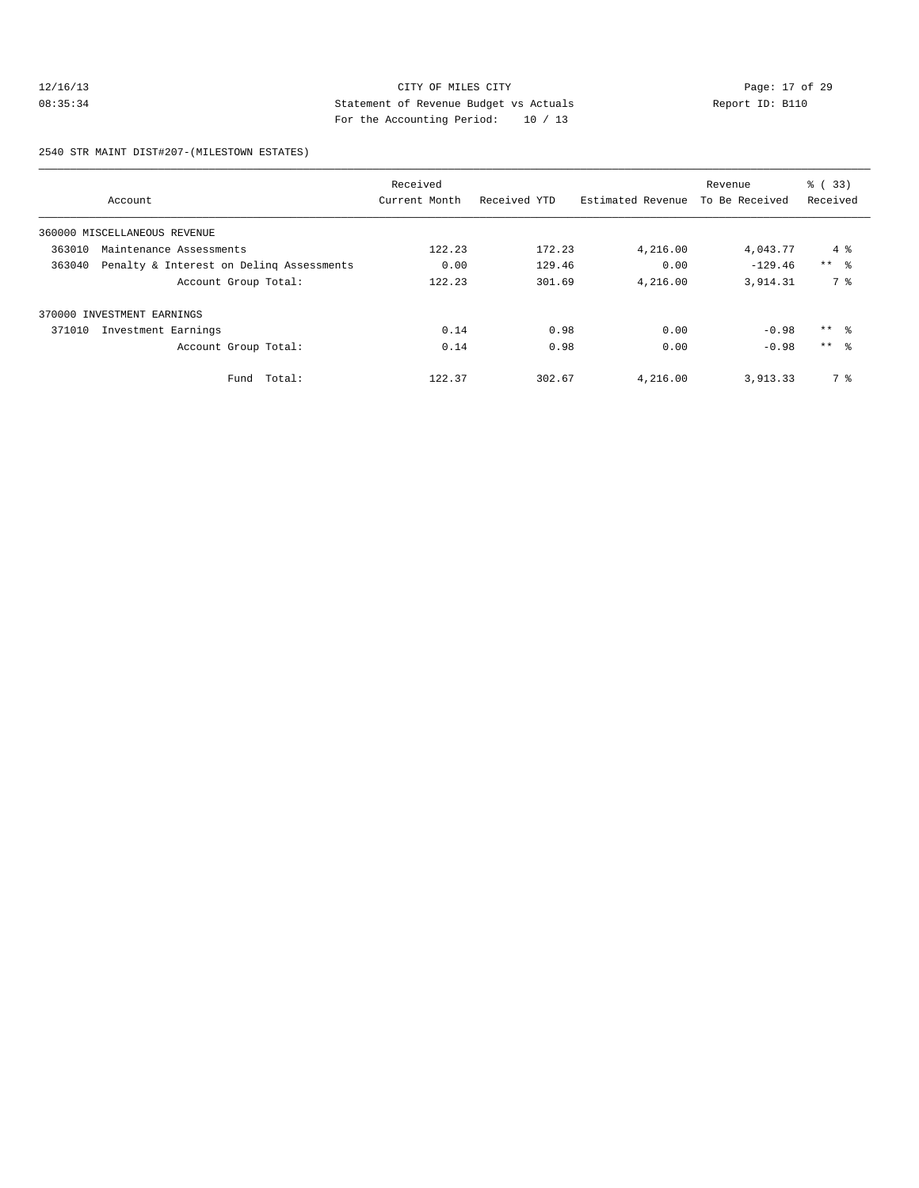# 12/16/13 Page: 17 of 29 08:35:34 Statement of Revenue Budget vs Actuals Report ID: B110 For the Accounting Period: 10 / 13

2540 STR MAINT DIST#207-(MILESTOWN ESTATES)

|        |                                          | Received      |              |                   | Revenue        | % (33)     |
|--------|------------------------------------------|---------------|--------------|-------------------|----------------|------------|
|        | Account                                  | Current Month | Received YTD | Estimated Revenue | To Be Received | Received   |
|        | 360000 MISCELLANEOUS REVENUE             |               |              |                   |                |            |
| 363010 | Maintenance Assessments                  | 122.23        | 172.23       | 4,216.00          | 4,043.77       | $4\degree$ |
| 363040 | Penalty & Interest on Deling Assessments | 0.00          | 129.46       | 0.00              | $-129.46$      | $***$ $ -$ |
|        | Account Group Total:                     | 122.23        | 301.69       | 4,216.00          | 3,914.31       | 7 %        |
|        | 370000 INVESTMENT EARNINGS               |               |              |                   |                |            |
| 371010 | Investment Earnings                      | 0.14          | 0.98         | 0.00              | $-0.98$        | $***$ $ -$ |
|        | Account Group Total:                     | 0.14          | 0.98         | 0.00              | $-0.98$        | $***$ %    |
|        | Total:<br>Fund                           | 122.37        | 302.67       | 4,216.00          | 3,913.33       | 7 %        |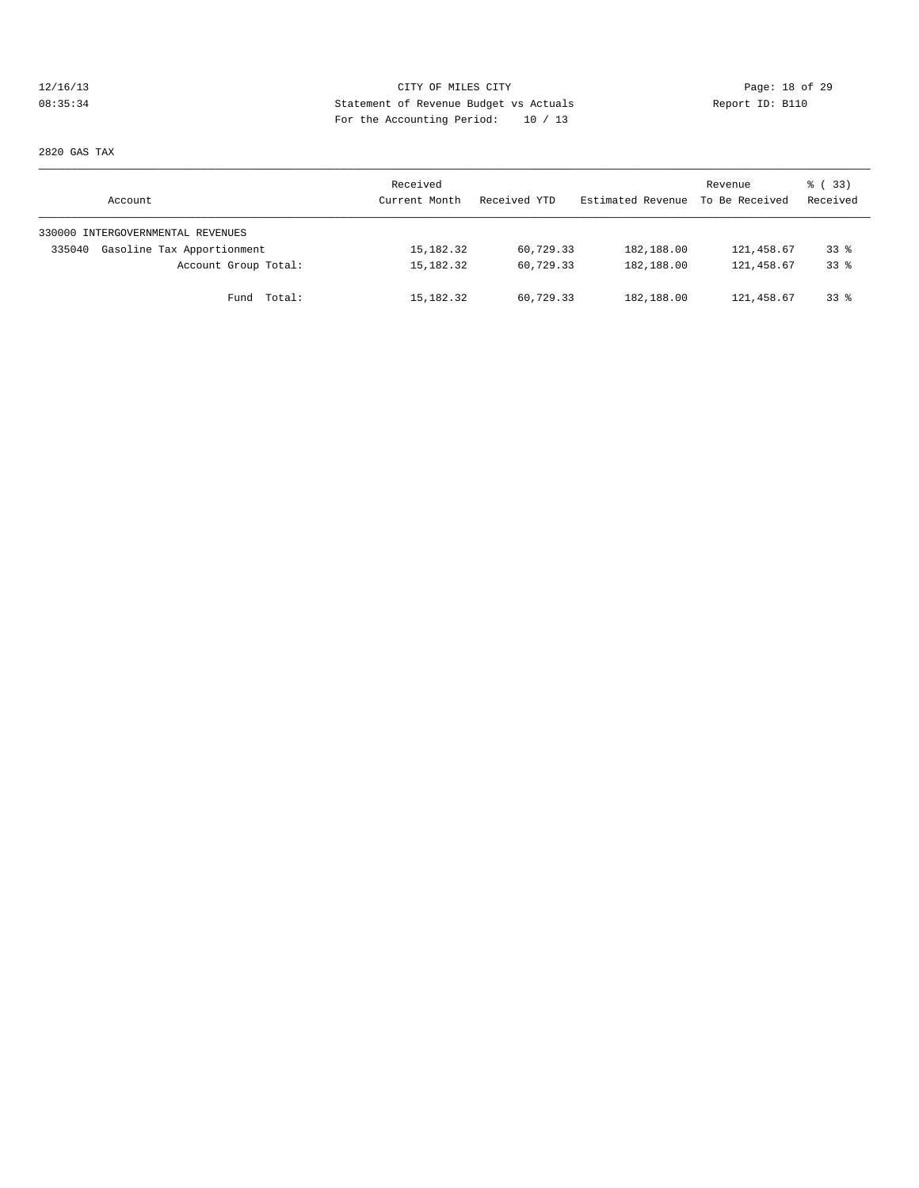# 12/16/13 Page: 18 of 29 08:35:34 Statement of Revenue Budget vs Actuals Report ID: B110 For the Accounting Period: 10 / 13

2820 GAS TAX

| Account                              | Received<br>Current Month | Received YTD | Estimated Revenue | Revenue<br>To Be Received | <sub>ර</sub> ි (33)<br>Received |
|--------------------------------------|---------------------------|--------------|-------------------|---------------------------|---------------------------------|
| 330000 INTERGOVERNMENTAL REVENUES    |                           |              |                   |                           |                                 |
| Gasoline Tax Apportionment<br>335040 | 15,182.32                 | 60,729.33    | 182,188.00        | 121,458.67                | $33$ $%$                        |
| Account Group Total:                 | 15,182.32                 | 60,729.33    | 182,188.00        | 121,458.67                | 338                             |
| Fund Total:                          | 15,182.32                 | 60,729.33    | 182,188.00        | 121,458.67                | 338                             |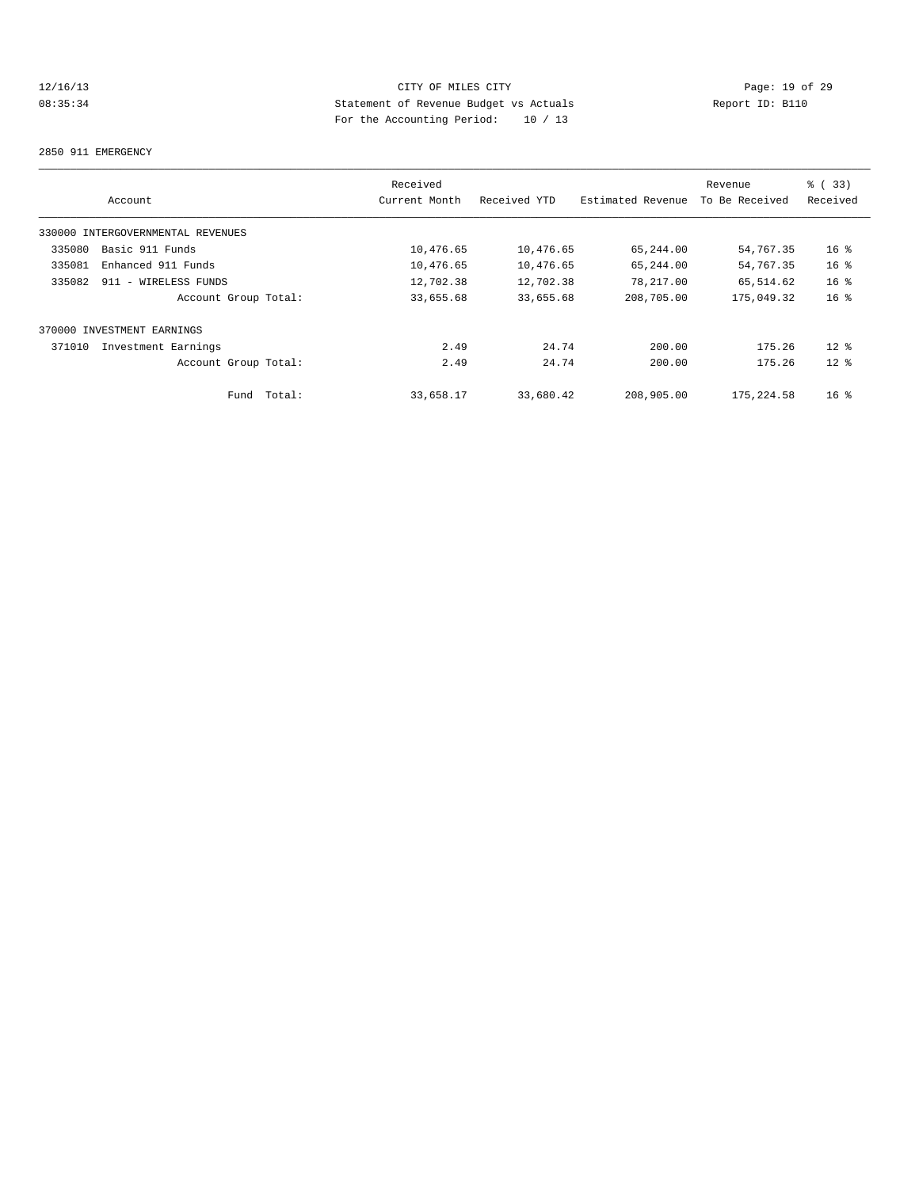# 12/16/13 Page: 19 of 29 08:35:34 Statement of Revenue Budget vs Actuals Report ID: B110 For the Accounting Period: 10 / 13

#### 2850 911 EMERGENCY

|        |                                   | Received      |              |                   | Revenue        | % (33)          |
|--------|-----------------------------------|---------------|--------------|-------------------|----------------|-----------------|
|        | Account                           | Current Month | Received YTD | Estimated Revenue | To Be Received | Received        |
|        | 330000 INTERGOVERNMENTAL REVENUES |               |              |                   |                |                 |
| 335080 | Basic 911 Funds                   | 10,476.65     | 10,476.65    | 65,244.00         | 54,767.35      | 16 <sup>°</sup> |
| 335081 | Enhanced 911 Funds                | 10,476.65     | 10,476.65    | 65,244.00         | 54,767.35      | 16 <sup>°</sup> |
| 335082 | 911 - WIRELESS FUNDS              | 12,702.38     | 12,702.38    | 78,217.00         | 65,514.62      | 16 <sup>°</sup> |
|        | Account Group Total:              | 33,655.68     | 33,655.68    | 208,705.00        | 175,049.32     | 16 <sup>°</sup> |
|        | 370000 INVESTMENT EARNINGS        |               |              |                   |                |                 |
| 371010 | Investment Earnings               | 2.49          | 24.74        | 200.00            | 175.26         | $12*$           |
|        | Account Group Total:              | 2.49          | 24.74        | 200.00            | 175.26         | $12*$           |
|        | Total:<br>Fund                    | 33,658.17     | 33,680.42    | 208,905.00        | 175, 224.58    | 16 <sup>8</sup> |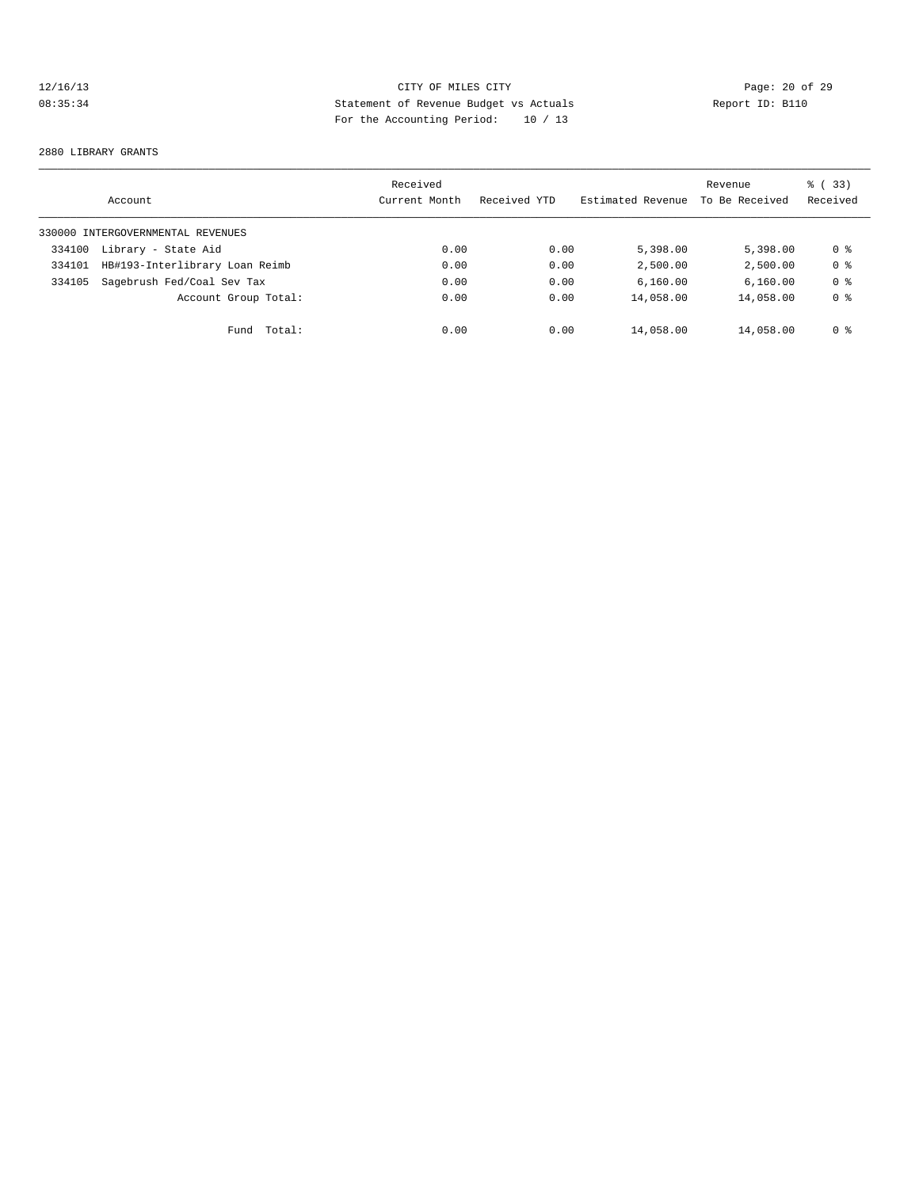# 12/16/13 CITY OF MILES CITY<br>
08:35:34 Deport ID: B110<br>
12/16/13 Report ID: B110 08:35:34 Statement of Revenue Budget vs Actuals Report ID: B110 For the Accounting Period: 10 / 13

#### 2880 LIBRARY GRANTS

|        | Account                           | Received<br>Current Month | Received YTD | Estimated Revenue | Revenue<br>To Be Received | % (33)<br>Received |
|--------|-----------------------------------|---------------------------|--------------|-------------------|---------------------------|--------------------|
|        | 330000 INTERGOVERNMENTAL REVENUES |                           |              |                   |                           |                    |
| 334100 | Library - State Aid               | 0.00                      | 0.00         | 5,398.00          | 5,398,00                  | 0 %                |
| 334101 | HB#193-Interlibrary Loan Reimb    | 0.00                      | 0.00         | 2,500.00          | 2,500.00                  | 0 <sup>8</sup>     |
| 334105 | Sagebrush Fed/Coal Sev Tax        | 0.00                      | 0.00         | 6.160.00          | 6.160.00                  | 0 <sub>8</sub>     |
|        | Account Group Total:              | 0.00                      | 0.00         | 14,058.00         | 14,058.00                 | 0 <sub>8</sub>     |
|        | Total:<br>Fund                    | 0.00                      | 0.00         | 14,058.00         | 14,058.00                 | 0 <sup>8</sup>     |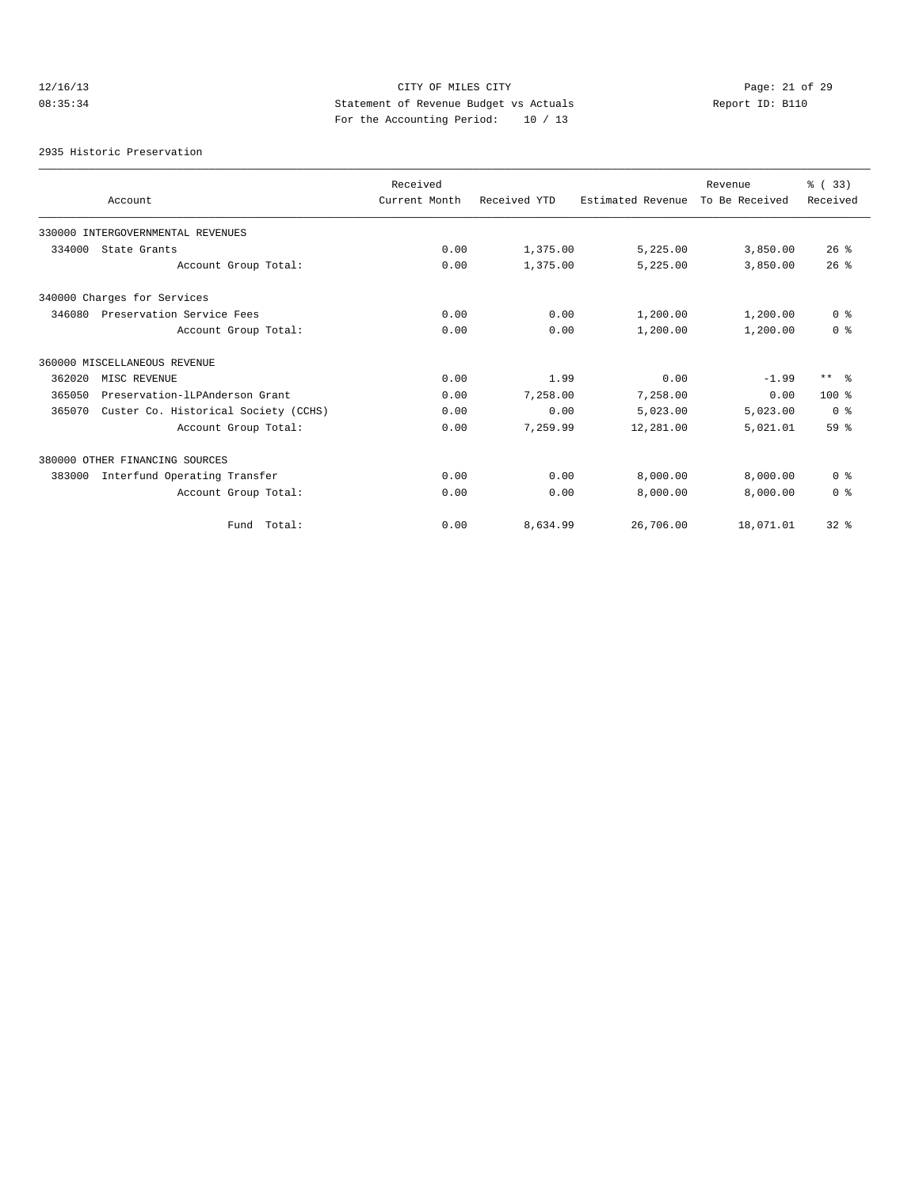# 12/16/13 Page: 21 of 29 08:35:34 Statement of Revenue Budget vs Actuals Report ID: B110 For the Accounting Period: 10 / 13

2935 Historic Preservation

|        |                                      | Received      |              |                   | Revenue        | % (33)          |
|--------|--------------------------------------|---------------|--------------|-------------------|----------------|-----------------|
|        | Account                              | Current Month | Received YTD | Estimated Revenue | To Be Received | Received        |
|        | 330000 INTERGOVERNMENTAL REVENUES    |               |              |                   |                |                 |
| 334000 | State Grants                         | 0.00          | 1,375.00     | 5,225.00          | 3,850.00       | 26%             |
|        | Account Group Total:                 | 0.00          | 1,375.00     | 5,225.00          | 3,850.00       | 26%             |
|        | 340000 Charges for Services          |               |              |                   |                |                 |
| 346080 | Preservation Service Fees            | 0.00          | 0.00         | 1,200.00          | 1,200.00       | 0 <sup>8</sup>  |
|        | Account Group Total:                 | 0.00          | 0.00         | 1,200.00          | 1,200.00       | 0 <sup>8</sup>  |
|        | 360000 MISCELLANEOUS REVENUE         |               |              |                   |                |                 |
| 362020 | MISC REVENUE                         | 0.00          | 1.99         | 0.00              | $-1.99$        | $***$ $ -$      |
| 365050 | Preservation-lLPAnderson Grant       | 0.00          | 7,258.00     | 7,258.00          | 0.00           | $100*$          |
| 365070 | Custer Co. Historical Society (CCHS) | 0.00          | 0.00         | 5,023.00          | 5,023.00       | 0 <sup>8</sup>  |
|        | Account Group Total:                 | 0.00          | 7,259.99     | 12,281.00         | 5,021.01       | 59 <sup>8</sup> |
|        | 380000 OTHER FINANCING SOURCES       |               |              |                   |                |                 |
| 383000 | Interfund Operating Transfer         | 0.00          | 0.00         | 8,000.00          | 8,000.00       | 0 <sup>8</sup>  |
|        | Account Group Total:                 | 0.00          | 0.00         | 8,000.00          | 8,000.00       | 0 <sup>8</sup>  |
|        | Fund Total:                          | 0.00          | 8,634.99     | 26,706.00         | 18,071.01      | $32$ $%$        |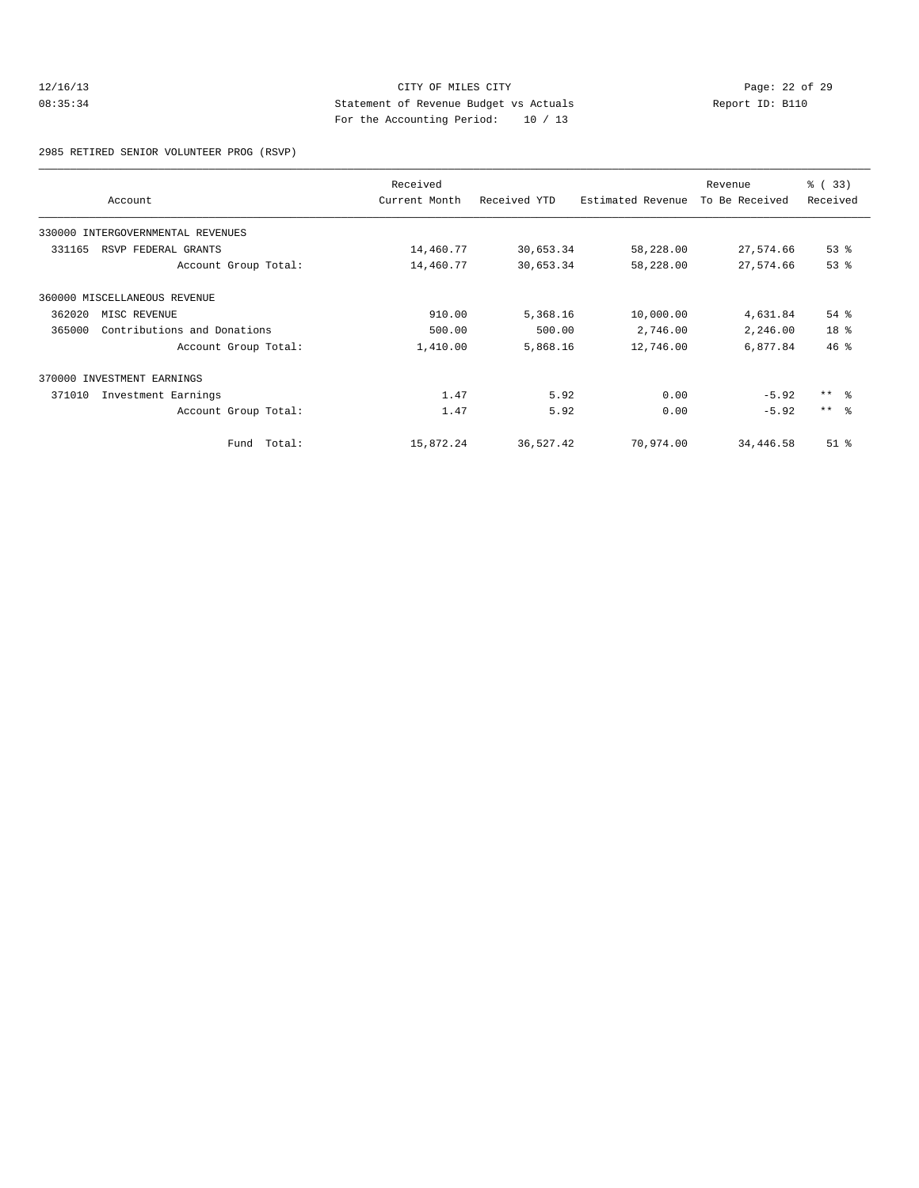# 12/16/13 CITY OF MILES CITY<br>
21/16/13 Page: 22 of 29<br>
21/16/13 Page: 22 of 29<br>
21/16/13 Page: 22 of 29<br>
21/16/13 Page: 22 of 29<br>
21/16/13 Page: 22 of 29 08:35:34 Statement of Revenue Budget vs Actuals Report ID: B110 For the Accounting Period: 10 / 13

2985 RETIRED SENIOR VOLUNTEER PROG (RSVP)

|        | Account                           | Received<br>Current Month | Received YTD | Estimated Revenue | Revenue<br>To Be Received | 8 ( 33)<br>Received |
|--------|-----------------------------------|---------------------------|--------------|-------------------|---------------------------|---------------------|
|        | 330000 INTERGOVERNMENTAL REVENUES |                           |              |                   |                           |                     |
| 331165 | RSVP FEDERAL GRANTS               | 14,460.77                 | 30,653.34    | 58,228.00         | 27,574.66                 | 53%                 |
|        | Account Group Total:              | 14,460.77                 | 30,653.34    | 58,228.00         | 27,574.66                 | 53%                 |
|        | 360000 MISCELLANEOUS REVENUE      |                           |              |                   |                           |                     |
| 362020 | MISC REVENUE                      | 910.00                    | 5,368.16     | 10,000.00         | 4,631.84                  | $54$ %              |
| 365000 | Contributions and Donations       | 500.00                    | 500.00       | 2,746.00          | 2,246.00                  | 18 %                |
|        | Account Group Total:              | 1,410.00                  | 5,868.16     | 12,746.00         | 6,877.84                  | 46%                 |
| 370000 | INVESTMENT EARNINGS               |                           |              |                   |                           |                     |
| 371010 | Investment Earnings               | 1.47                      | 5.92         | 0.00              | $-5.92$                   | $***$ $\approx$     |
|        | Account Group Total:              | 1.47                      | 5.92         | 0.00              | $-5.92$                   | $***$ $\approx$     |
|        | Fund Total:                       | 15,872.24                 | 36,527.42    | 70,974.00         | 34,446.58                 | $51$ %              |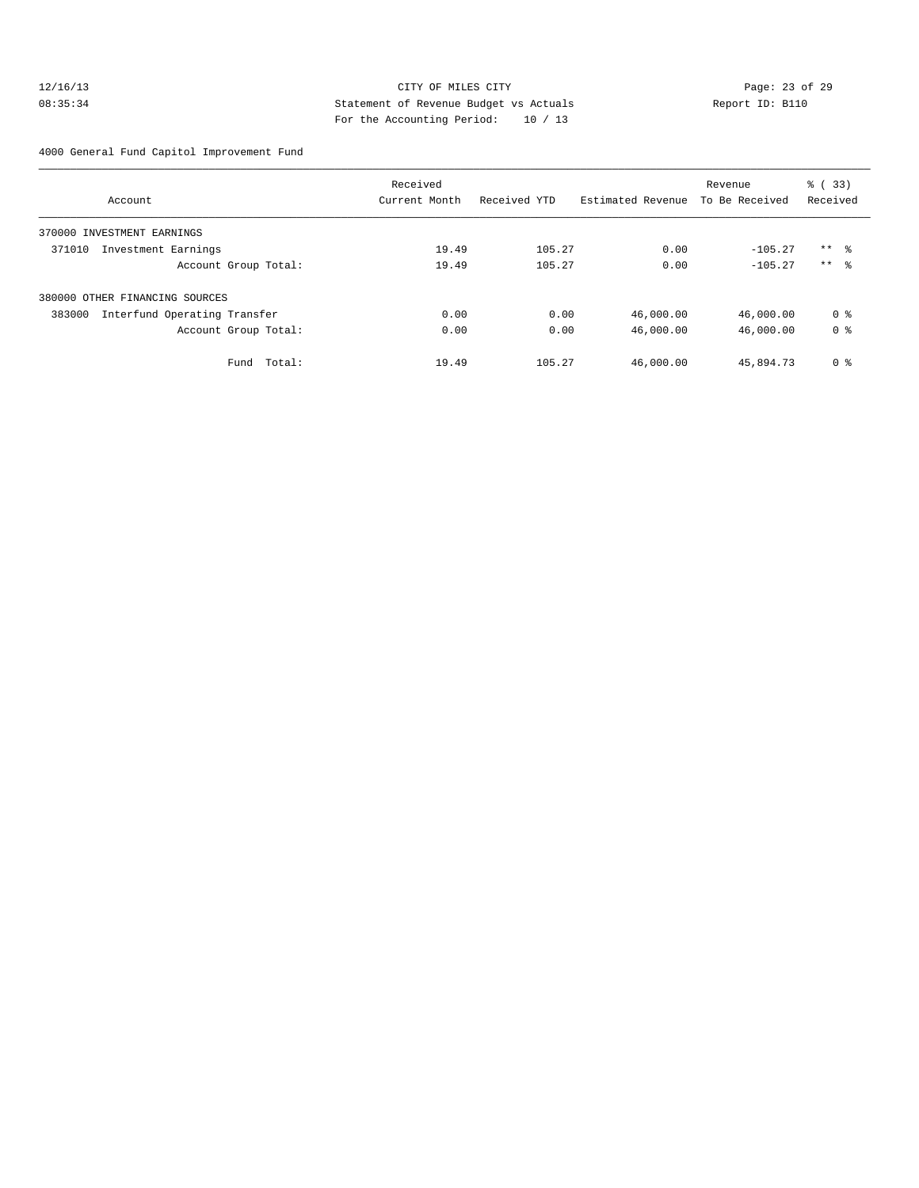# 12/16/13 Page: 23 of 29 08:35:34 Statement of Revenue Budget vs Actuals Report ID: B110 For the Accounting Period: 10 / 13

4000 General Fund Capitol Improvement Fund

|                                        | Received      |              |                   | Revenue        | % (33)         |
|----------------------------------------|---------------|--------------|-------------------|----------------|----------------|
| Account                                | Current Month | Received YTD | Estimated Revenue | To Be Received | Received       |
| 370000 INVESTMENT EARNINGS             |               |              |                   |                |                |
| 371010<br>Investment Earnings          | 19.49         | 105.27       | 0.00              | $-105.27$      | $***$ %        |
| Account Group Total:                   | 19.49         | 105.27       | 0.00              | $-105.27$      | $***$ 8        |
| 380000 OTHER FINANCING SOURCES         |               |              |                   |                |                |
| 383000<br>Interfund Operating Transfer | 0.00          | 0.00         | 46,000.00         | 46,000.00      | 0 <sub>8</sub> |
| Account Group Total:                   | 0.00          | 0.00         | 46,000.00         | 46,000.00      | 0 <sub>8</sub> |
| Total:<br>Fund                         | 19.49         | 105.27       | 46,000.00         | 45,894.73      | 0 <sup>8</sup> |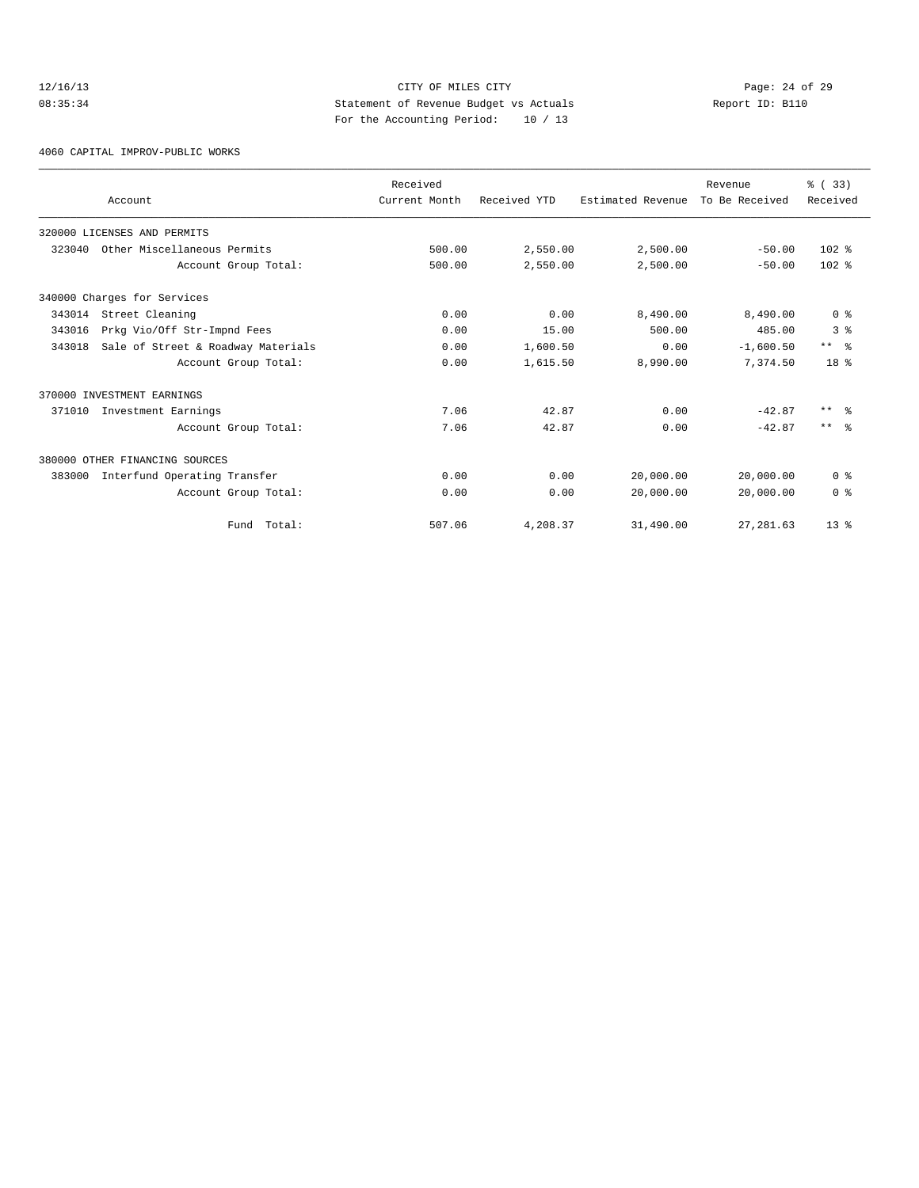# 12/16/13 Page: 24 of 29 08:35:34 Statement of Revenue Budget vs Actuals Report ID: B110 For the Accounting Period: 10 / 13

4060 CAPITAL IMPROV-PUBLIC WORKS

|        | Account                            | Received<br>Current Month | Received YTD | Estimated Revenue | Revenue<br>To Be Received | % (33)<br>Received      |
|--------|------------------------------------|---------------------------|--------------|-------------------|---------------------------|-------------------------|
|        | 320000 LICENSES AND PERMITS        |                           |              |                   |                           |                         |
| 323040 | Other Miscellaneous Permits        | 500.00                    | 2,550.00     | 2,500.00          | $-50.00$                  | $102*$                  |
|        | Account Group Total:               | 500.00                    | 2,550.00     | 2,500.00          | $-50.00$                  | $102*$                  |
|        | 340000 Charges for Services        |                           |              |                   |                           |                         |
| 343014 | Street Cleaning                    | 0.00                      | 0.00         | 8,490.00          | 8,490.00                  | 0 <sup>8</sup>          |
| 343016 | Prkg Vio/Off Str-Impnd Fees        | 0.00                      | 15.00        | 500.00            | 485.00                    | 3 <sup>8</sup>          |
| 343018 | Sale of Street & Roadway Materials | 0.00                      | 1,600.50     | 0.00              | $-1,600.50$               | $***$ $=$ $\frac{6}{5}$ |
|        | Account Group Total:               | 0.00                      | 1,615.50     | 8,990.00          | 7.374.50                  | 18 <sup>8</sup>         |
|        | 370000 INVESTMENT EARNINGS         |                           |              |                   |                           |                         |
| 371010 | Investment Earnings                | 7.06                      | 42.87        | 0.00              | $-42.87$                  | $***$ $\approx$         |
|        | Account Group Total:               | 7.06                      | 42.87        | 0.00              | $-42.87$                  | $***$ $\approx$         |
|        | 380000 OTHER FINANCING SOURCES     |                           |              |                   |                           |                         |
| 383000 | Interfund Operating Transfer       | 0.00                      | 0.00         | 20,000.00         | 20,000.00                 | 0 <sup>8</sup>          |
|        | Account Group Total:               | 0.00                      | 0.00         | 20,000.00         | 20,000.00                 | 0 <sup>8</sup>          |
|        | Total:<br>Fund                     | 507.06                    | 4,208.37     | 31,490.00         | 27, 281.63                | 13 <sup>8</sup>         |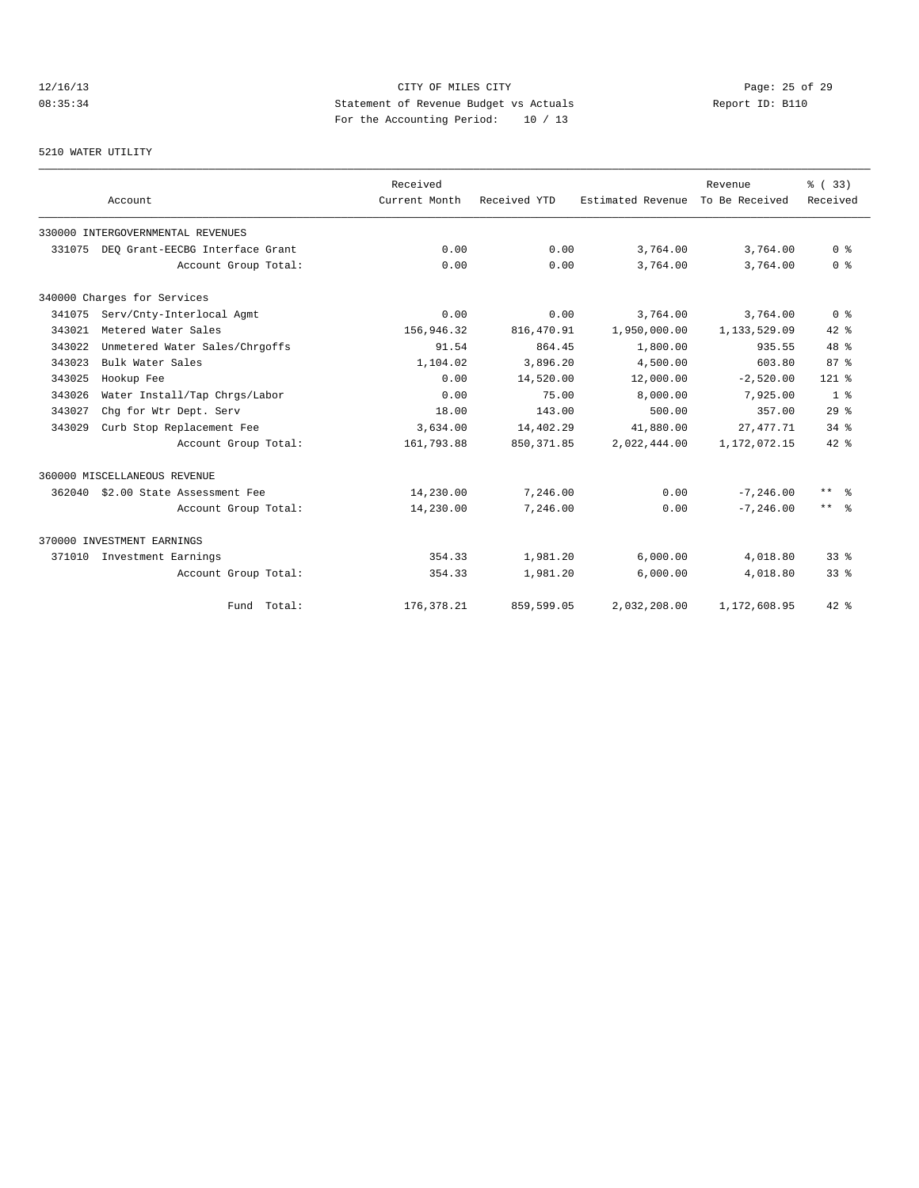# 12/16/13 Page: 25 of 29 08:35:34 Statement of Revenue Budget vs Actuals Report ID: B110 For the Accounting Period: 10 / 13

# 5210 WATER UTILITY

|        |                                   | Received      |              |                   | Revenue        | % (33)                  |
|--------|-----------------------------------|---------------|--------------|-------------------|----------------|-------------------------|
|        | Account                           | Current Month | Received YTD | Estimated Revenue | To Be Received | Received                |
|        | 330000 INTERGOVERNMENTAL REVENUES |               |              |                   |                |                         |
| 331075 | DEO Grant-EECBG Interface Grant   | 0.00          | 0.00         | 3,764.00          | 3,764.00       | 0 <sup>8</sup>          |
|        | Account Group Total:              | 0.00          | 0.00         | 3,764.00          | 3,764.00       | 0 <sup>8</sup>          |
|        | 340000 Charges for Services       |               |              |                   |                |                         |
| 341075 | Serv/Cnty-Interlocal Agmt         | 0.00          | 0.00         | 3,764.00          | 3,764.00       | 0 <sup>8</sup>          |
| 343021 | Metered Water Sales               | 156,946.32    | 816,470.91   | 1,950,000.00      | 1,133,529.09   | $42*$                   |
| 343022 | Unmetered Water Sales/Chrgoffs    | 91.54         | 864.45       | 1,800.00          | 935.55         | 48 %                    |
| 343023 | Bulk Water Sales                  | 1,104.02      | 3,896.20     | 4,500.00          | 603.80         | 87%                     |
| 343025 | Hookup Fee                        | 0.00          | 14,520.00    | 12,000.00         | $-2,520.00$    | $121$ %                 |
| 343026 | Water Install/Tap Chrgs/Labor     | 0.00          | 75.00        | 8,000.00          | 7,925.00       | 1 <sup>8</sup>          |
| 343027 | Chq for Wtr Dept. Serv            | 18.00         | 143.00       | 500.00            | 357.00         | 29%                     |
| 343029 | Curb Stop Replacement Fee         | 3,634.00      | 14,402.29    | 41,880.00         | 27,477.71      | $34$ $%$                |
|        | Account Group Total:              | 161,793.88    | 850, 371.85  | 2,022,444.00      | 1,172,072.15   | $42*$                   |
|        | 360000 MISCELLANEOUS REVENUE      |               |              |                   |                |                         |
| 362040 | \$2.00 State Assessment Fee       | 14,230.00     | 7,246.00     | 0.00              | $-7, 246.00$   | $***$ $=$ $\frac{6}{5}$ |
|        | Account Group Total:              | 14,230.00     | 7,246.00     | 0.00              | $-7, 246.00$   | $***$ $ \frac{6}{6}$    |
|        | 370000 INVESTMENT EARNINGS        |               |              |                   |                |                         |
| 371010 | Investment Earnings               | 354.33        | 1,981.20     | 6,000.00          | 4,018.80       | 33 <sup>8</sup>         |
|        | Account Group Total:              | 354.33        | 1,981.20     | 6,000.00          | 4,018.80       | $33$ $%$                |
|        | Fund Total:                       | 176, 378.21   | 859,599.05   | 2,032,208.00      | 1,172,608.95   | 42 %                    |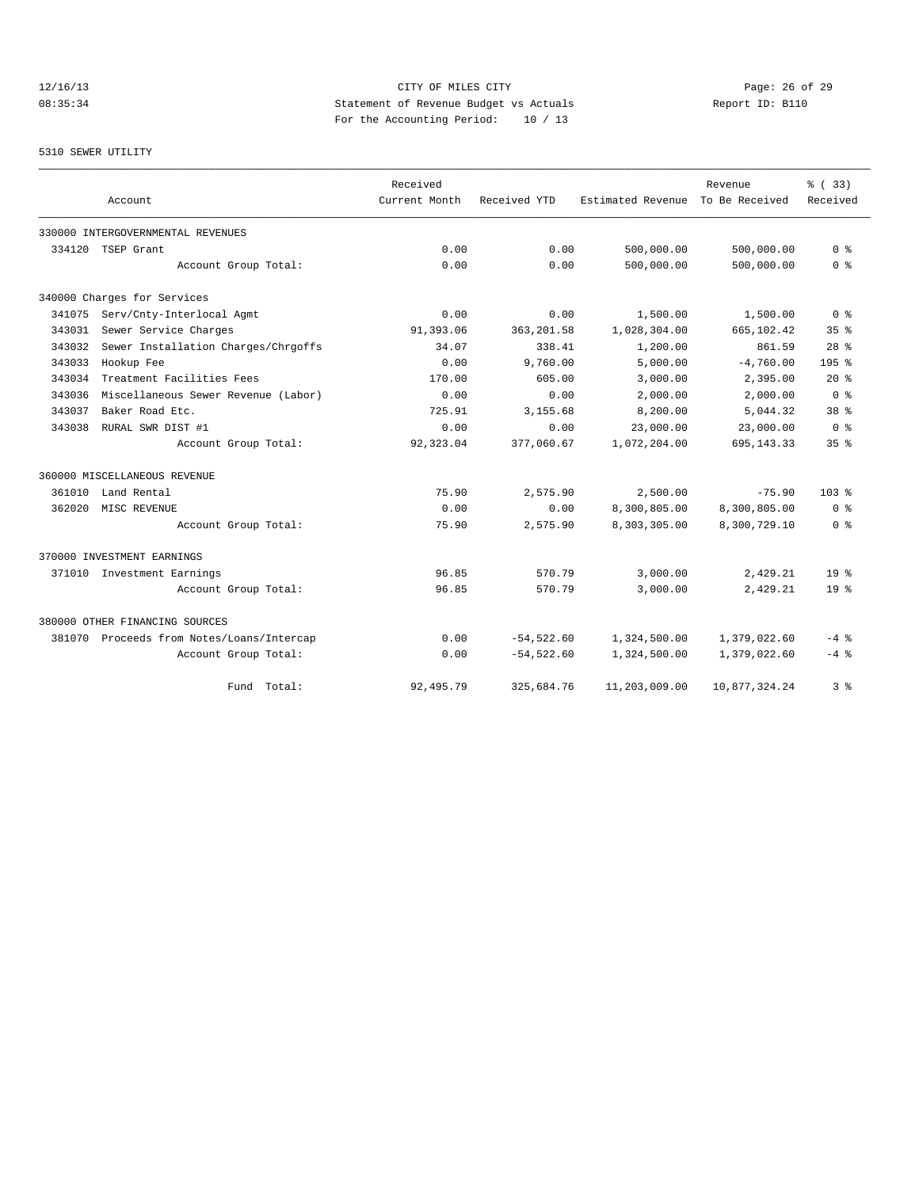# 12/16/13 Page: 26 of 29 08:35:34 Statement of Revenue Budget vs Actuals Report ID: B110 For the Accounting Period: 10 / 13

# 5310 SEWER UTILITY

|        | Account                                   | Received<br>Current Month | Received YTD  | Estimated Revenue | Revenue<br>To Be Received | % (33)<br>Received |
|--------|-------------------------------------------|---------------------------|---------------|-------------------|---------------------------|--------------------|
|        | 330000 INTERGOVERNMENTAL REVENUES         |                           |               |                   |                           |                    |
| 334120 | TSEP Grant                                | 0.00                      | 0.00          | 500,000.00        | 500,000.00                | 0 <sup>8</sup>     |
|        | Account Group Total:                      | 0.00                      | 0.00          | 500,000.00        | 500,000.00                | 0 <sup>8</sup>     |
|        | 340000 Charges for Services               |                           |               |                   |                           |                    |
| 341075 | Serv/Cnty-Interlocal Agmt                 | 0.00                      | 0.00          | 1,500.00          | 1,500.00                  | 0 <sup>8</sup>     |
| 343031 | Sewer Service Charges                     | 91,393.06                 | 363, 201.58   | 1,028,304.00      | 665,102.42                | 35%                |
| 343032 | Sewer Installation Charges/Chrgoffs       | 34.07                     | 338.41        | 1,200.00          | 861.59                    | $28$ $%$           |
| 343033 | Hookup Fee                                | 0.00                      | 9,760.00      | 5,000.00          | $-4,760.00$               | 195 %              |
| 343034 | Treatment Facilities Fees                 | 170.00                    | 605.00        | 3,000.00          | 2,395.00                  | $20*$              |
| 343036 | Miscellaneous Sewer Revenue (Labor)       | 0.00                      | 0.00          | 2,000.00          | 2,000.00                  | 0 <sup>8</sup>     |
| 343037 | Baker Road Etc.                           | 725.91                    | 3,155.68      | 8,200.00          | 5,044.32                  | 38 <sup>8</sup>    |
| 343038 | RURAL SWR DIST #1                         | 0.00                      | 0.00          | 23,000.00         | 23,000.00                 | 0 <sup>8</sup>     |
|        | Account Group Total:                      | 92,323.04                 | 377,060.67    | 1,072,204.00      | 695, 143. 33              | 35 <sup>8</sup>    |
|        | 360000 MISCELLANEOUS REVENUE              |                           |               |                   |                           |                    |
| 361010 | Land Rental                               | 75.90                     | 2,575.90      | 2,500.00          | $-75.90$                  | 103 <sub>8</sub>   |
| 362020 | MISC REVENUE                              | 0.00                      | 0.00          | 8,300,805.00      | 8,300,805.00              | 0 %                |
|        | Account Group Total:                      | 75.90                     | 2,575.90      | 8,303,305.00      | 8,300,729.10              | 0 <sup>8</sup>     |
|        | 370000 INVESTMENT EARNINGS                |                           |               |                   |                           |                    |
|        | 371010 Investment Earnings                | 96.85                     | 570.79        | 3,000.00          | 2,429.21                  | 19 <sup>°</sup>    |
|        | Account Group Total:                      | 96.85                     | 570.79        | 3,000.00          | 2,429.21                  | 19 <sup>°</sup>    |
|        | 380000 OTHER FINANCING SOURCES            |                           |               |                   |                           |                    |
|        | 381070 Proceeds from Notes/Loans/Intercap | 0.00                      | $-54,522.60$  | 1,324,500.00      | 1,379,022.60              | $-4$ %             |
|        | Account Group Total:                      | 0.00                      | $-54, 522.60$ | 1,324,500.00      | 1,379,022.60              | $-4$ %             |
|        | Total:<br>Fund                            | 92, 495.79                | 325,684.76    | 11,203,009.00     | 10,877,324.24             | 3 %                |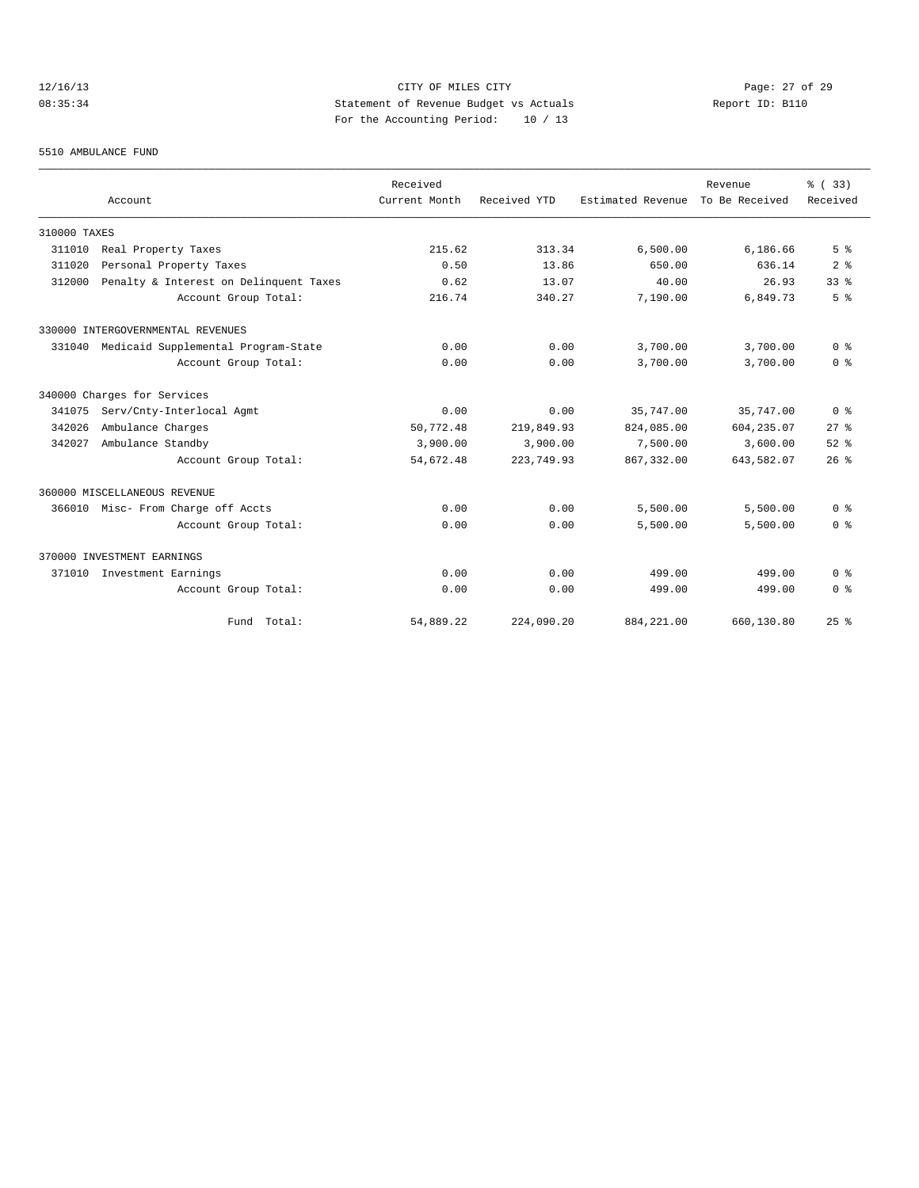# 12/16/13 Page: 27 of 29 08:35:34 Statement of Revenue Budget vs Actuals Report ID: B110 For the Accounting Period: 10 / 13

#### 5510 AMBULANCE FUND

|              |                                        | Received      |              |                   | Revenue        | % (33)                             |
|--------------|----------------------------------------|---------------|--------------|-------------------|----------------|------------------------------------|
|              | Account                                | Current Month | Received YTD | Estimated Revenue | To Be Received | Received                           |
| 310000 TAXES |                                        |               |              |                   |                |                                    |
| 311010       | Real Property Taxes                    | 215.62        | 313.34       | 6,500.00          | 6,186.66       | 5 <sup>8</sup>                     |
| 311020       | Personal Property Taxes                | 0.50          | 13.86        | 650.00            | 636.14         | 2 <sup>8</sup>                     |
| 312000       | Penalty & Interest on Delinquent Taxes | 0.62          | 13.07        | 40.00             | 26.93          | 33 <sup>8</sup>                    |
|              | Account Group Total:                   | 216.74        | 340.27       | 7,190.00          | 6,849.73       | 5 <sup>8</sup>                     |
|              | 330000 INTERGOVERNMENTAL REVENUES      |               |              |                   |                |                                    |
| 331040       | Medicaid Supplemental Program-State    | 0.00          | 0.00         | 3,700.00          | 3,700.00       | 0 <sup>8</sup>                     |
|              | Account Group Total:                   | 0.00          | 0.00         | 3,700.00          | 3,700.00       | 0 <sup>8</sup>                     |
|              | 340000 Charges for Services            |               |              |                   |                |                                    |
| 341075       | Serv/Cnty-Interlocal Agmt              | 0.00          | 0.00         | 35,747.00         | 35,747.00      | 0 <sup>8</sup>                     |
| 342026       | Ambulance Charges                      | 50,772.48     | 219,849.93   | 824,085.00        | 604,235.07     | $27$ $%$                           |
| 342027       | Ambulance Standby                      | 3,900.00      | 3,900.00     | 7,500.00          | 3,600.00       | $52$ $%$                           |
|              | Account Group Total:                   | 54,672.48     | 223,749.93   | 867, 332.00       | 643,582.07     | 26%                                |
|              | 360000 MISCELLANEOUS REVENUE           |               |              |                   |                |                                    |
| 366010       | Misc- From Charge off Accts            | 0.00          | 0.00         | 5,500.00          | 5,500.00       | 0 <sup>8</sup>                     |
|              | Account Group Total:                   | 0.00          | 0.00         | 5,500.00          | 5.500.00       | 0 <sup>8</sup>                     |
|              | 370000 INVESTMENT EARNINGS             |               |              |                   |                |                                    |
| 371010       | Investment Earnings                    | 0.00          | 0.00         | 499.00            | 499.00         | $0 \text{ }$ $\text{ }$ $\text{ }$ |
|              | Account Group Total:                   | 0.00          | 0.00         | 499.00            | 499.00         | 0 <sup>8</sup>                     |
|              | Fund Total:                            | 54,889.22     | 224,090.20   | 884, 221.00       | 660,130.80     | 25%                                |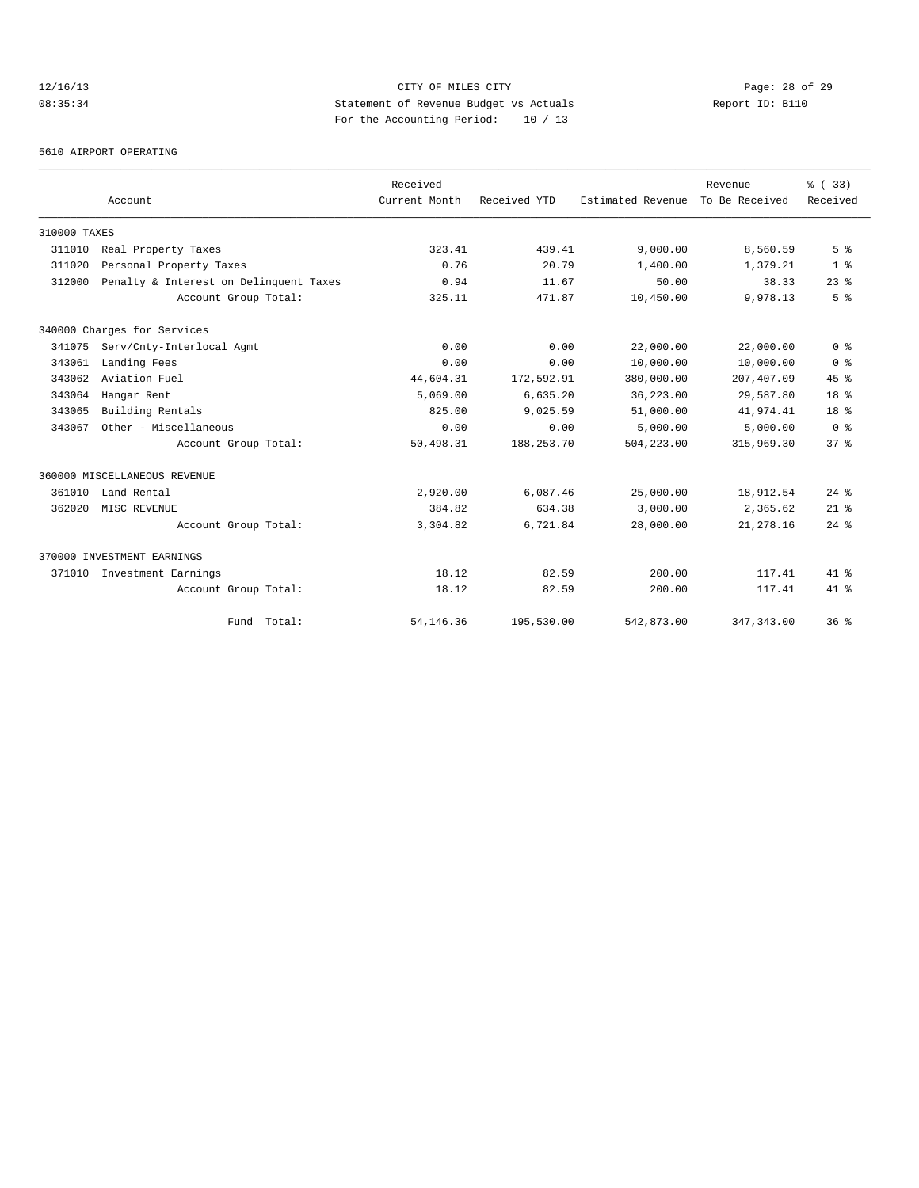# 12/16/13 Page: 28 of 29 08:35:34 Statement of Revenue Budget vs Actuals Report ID: B110 For the Accounting Period: 10 / 13

5610 AIRPORT OPERATING

|              | Account                                |             | Received<br>Current Month | Received YTD | Estimated Revenue | Revenue<br>To Be Received | % (33)<br>Received |
|--------------|----------------------------------------|-------------|---------------------------|--------------|-------------------|---------------------------|--------------------|
| 310000 TAXES |                                        |             |                           |              |                   |                           |                    |
| 311010       | Real Property Taxes                    |             | 323.41                    | 439.41       | 9.000.00          | 8,560.59                  | 5 <sup>8</sup>     |
| 311020       | Personal Property Taxes                |             | 0.76                      | 20.79        | 1,400.00          | 1,379.21                  | 1 <sup>8</sup>     |
| 312000       | Penalty & Interest on Delinquent Taxes |             | 0.94                      | 11.67        | 50.00             | 38.33                     | $23$ $%$           |
|              | Account Group Total:                   |             | 325.11                    | 471.87       | 10,450.00         | 9,978.13                  | 5 <sup>8</sup>     |
|              | 340000 Charges for Services            |             |                           |              |                   |                           |                    |
| 341075       | Serv/Cnty-Interlocal Agmt              |             | 0.00                      | 0.00         | 22,000.00         | 22,000.00                 | 0 <sup>8</sup>     |
| 343061       | Landing Fees                           |             | 0.00                      | 0.00         | 10,000.00         | 10,000.00                 | 0 <sup>8</sup>     |
| 343062       | Aviation Fuel                          |             | 44,604.31                 | 172,592.91   | 380,000.00        | 207,407.09                | 45%                |
| 343064       | Hangar Rent                            |             | 5,069.00                  | 6,635.20     | 36,223.00         | 29,587.80                 | 18 <sup>8</sup>    |
| 343065       | Building Rentals                       |             | 825.00                    | 9,025.59     | 51,000.00         | 41,974.41                 | 18 <sup>8</sup>    |
| 343067       | Other - Miscellaneous                  |             | 0.00                      | 0.00         | 5,000.00          | 5,000.00                  | 0 <sup>8</sup>     |
|              | Account Group Total:                   |             | 50,498.31                 | 188,253.70   | 504,223.00        | 315,969.30                | 37 <sup>8</sup>    |
|              | 360000 MISCELLANEOUS REVENUE           |             |                           |              |                   |                           |                    |
| 361010       | Land Rental                            |             | 2,920.00                  | 6,087.46     | 25,000.00         | 18,912.54                 | $24$ $%$           |
| 362020       | MISC REVENUE                           |             | 384.82                    | 634.38       | 3,000.00          | 2,365.62                  | $21$ %             |
|              | Account Group Total:                   |             | 3,304.82                  | 6,721.84     | 28,000.00         | 21, 278.16                | $24$ $%$           |
|              | 370000 INVESTMENT EARNINGS             |             |                           |              |                   |                           |                    |
| 371010       | Investment Earnings                    |             | 18.12                     | 82.59        | 200.00            | 117.41                    | $41$ $%$           |
|              | Account Group Total:                   |             | 18.12                     | 82.59        | 200.00            | 117.41                    | $41*$              |
|              |                                        | Fund Total: | 54, 146. 36               | 195,530.00   | 542,873.00        | 347, 343.00               | 36%                |